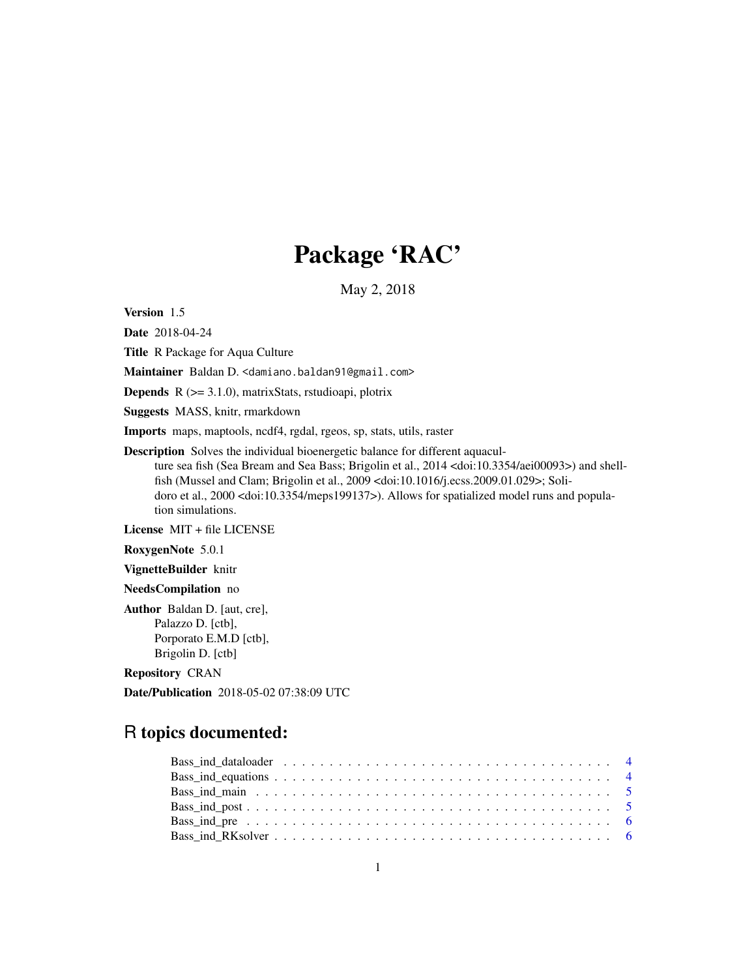# Package 'RAC'

May 2, 2018

Version 1.5

Date 2018-04-24

Title R Package for Aqua Culture

Maintainer Baldan D. < damiano.baldan91@gmail.com>

**Depends**  $R$  ( $>= 3.1.0$ ), matrixStats, rstudioapi, plotrix

Suggests MASS, knitr, rmarkdown

Imports maps, maptools, ncdf4, rgdal, rgeos, sp, stats, utils, raster

Description Solves the individual bioenergetic balance for different aquaculture sea fish (Sea Bream and Sea Bass; Brigolin et al., 2014 <doi:10.3354/aei00093>) and shellfish (Mussel and Clam; Brigolin et al., 2009 <doi:10.1016/j.ecss.2009.01.029>; Solidoro et al., 2000 <doi:10.3354/meps199137>). Allows for spatialized model runs and population simulations.

License MIT + file LICENSE

RoxygenNote 5.0.1

VignetteBuilder knitr

NeedsCompilation no

Author Baldan D. [aut, cre], Palazzo D. [ctb], Porporato E.M.D [ctb], Brigolin D. [ctb]

Repository CRAN

Date/Publication 2018-05-02 07:38:09 UTC

# R topics documented: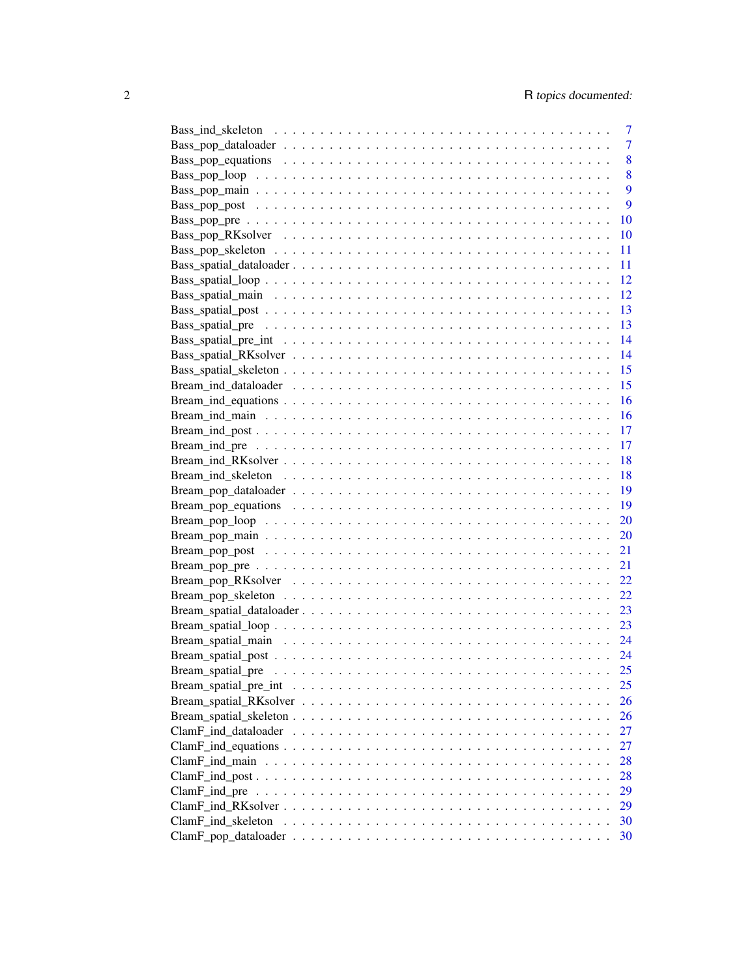|                                                                                                             | 7              |
|-------------------------------------------------------------------------------------------------------------|----------------|
|                                                                                                             | $\overline{7}$ |
|                                                                                                             | 8              |
|                                                                                                             | 8              |
|                                                                                                             | 9              |
|                                                                                                             | 9              |
|                                                                                                             | 10             |
|                                                                                                             | 10             |
|                                                                                                             | 11             |
|                                                                                                             | 11             |
|                                                                                                             | 12             |
|                                                                                                             | 12             |
|                                                                                                             | 13             |
|                                                                                                             | 13             |
|                                                                                                             | 14             |
|                                                                                                             | 14             |
|                                                                                                             | 15             |
|                                                                                                             | 15             |
|                                                                                                             | 16             |
|                                                                                                             | <b>16</b>      |
|                                                                                                             | 17             |
|                                                                                                             | 17             |
|                                                                                                             | -18            |
|                                                                                                             | -18            |
|                                                                                                             | - 19           |
|                                                                                                             | - 19           |
|                                                                                                             |                |
|                                                                                                             |                |
|                                                                                                             |                |
|                                                                                                             |                |
|                                                                                                             |                |
|                                                                                                             |                |
|                                                                                                             |                |
|                                                                                                             |                |
|                                                                                                             |                |
|                                                                                                             |                |
|                                                                                                             | 25             |
|                                                                                                             | 25             |
|                                                                                                             | 26             |
|                                                                                                             | 26             |
|                                                                                                             | 27             |
|                                                                                                             | 27             |
|                                                                                                             | 28             |
|                                                                                                             | 28             |
| $ClamF\_ind\_pre \dots \dots \dots \dots \dots \dots \dots \dots \dots \dots \dots \dots \dots \dots \dots$ | 29             |
|                                                                                                             | 29             |
|                                                                                                             | 30             |
|                                                                                                             | 30             |
|                                                                                                             |                |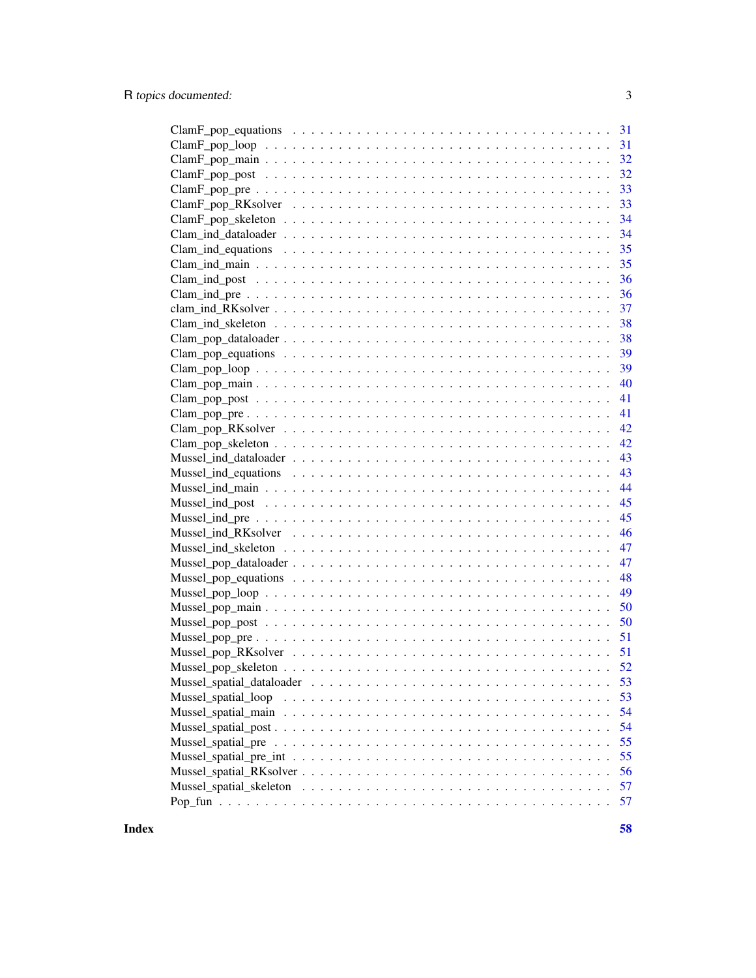| 31                                                                                                               |
|------------------------------------------------------------------------------------------------------------------|
|                                                                                                                  |
|                                                                                                                  |
|                                                                                                                  |
|                                                                                                                  |
| 33                                                                                                               |
| 34<br>$ClamF\_pop\_skeleton \ldots \ldots \ldots \ldots \ldots \ldots \ldots \ldots \ldots \ldots \ldots \ldots$ |
| 34                                                                                                               |
| 35                                                                                                               |
| 35                                                                                                               |
| 36                                                                                                               |
| 36                                                                                                               |
| 37                                                                                                               |
| 38                                                                                                               |
| 38                                                                                                               |
| 39                                                                                                               |
| 39                                                                                                               |
| 40                                                                                                               |
| 41                                                                                                               |
| 41                                                                                                               |
| 42                                                                                                               |
| 42                                                                                                               |
| 43                                                                                                               |
| 43                                                                                                               |
| 44                                                                                                               |
| 45                                                                                                               |
| 45                                                                                                               |
| 46                                                                                                               |
| 47                                                                                                               |
| 47                                                                                                               |
| 48                                                                                                               |
| 49                                                                                                               |
| 50                                                                                                               |
| 50                                                                                                               |
|                                                                                                                  |
|                                                                                                                  |
|                                                                                                                  |
| 53                                                                                                               |
| 53                                                                                                               |
| 54                                                                                                               |
| 54                                                                                                               |
| 55                                                                                                               |
| 55                                                                                                               |
| 56                                                                                                               |
| 57                                                                                                               |
| 57                                                                                                               |
|                                                                                                                  |

**Index [58](#page-57-0) Second Line Control of the Control of the Control of the Control of the Control of the Control of the Control of the Control of the Control of the Control of the Control of the Control of the Control of the Contr**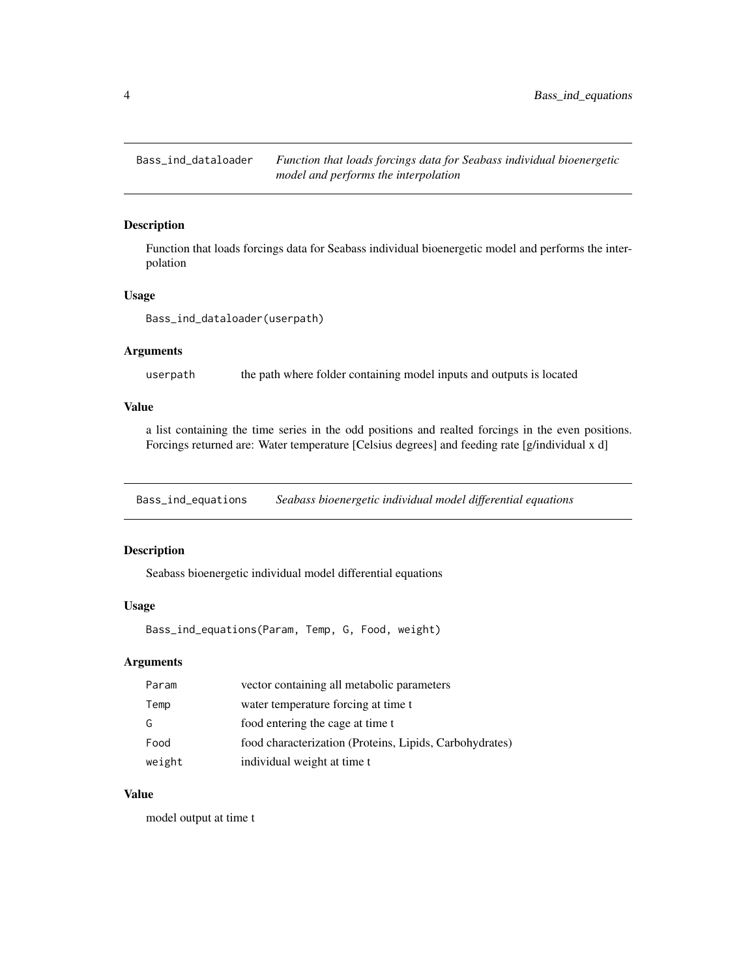<span id="page-3-0"></span>Bass\_ind\_dataloader *Function that loads forcings data for Seabass individual bioenergetic model and performs the interpolation*

# Description

Function that loads forcings data for Seabass individual bioenergetic model and performs the interpolation

#### Usage

```
Bass_ind_dataloader(userpath)
```
#### Arguments

userpath the path where folder containing model inputs and outputs is located

# Value

a list containing the time series in the odd positions and realted forcings in the even positions. Forcings returned are: Water temperature [Celsius degrees] and feeding rate [g/individual x d]

Bass\_ind\_equations *Seabass bioenergetic individual model differential equations*

#### Description

Seabass bioenergetic individual model differential equations

#### Usage

Bass\_ind\_equations(Param, Temp, G, Food, weight)

# Arguments

| Param  | vector containing all metabolic parameters              |
|--------|---------------------------------------------------------|
| Temp   | water temperature forcing at time t                     |
| G      | food entering the cage at time t                        |
| Food   | food characterization (Proteins, Lipids, Carbohydrates) |
| weight | individual weight at time t                             |

# Value

model output at time t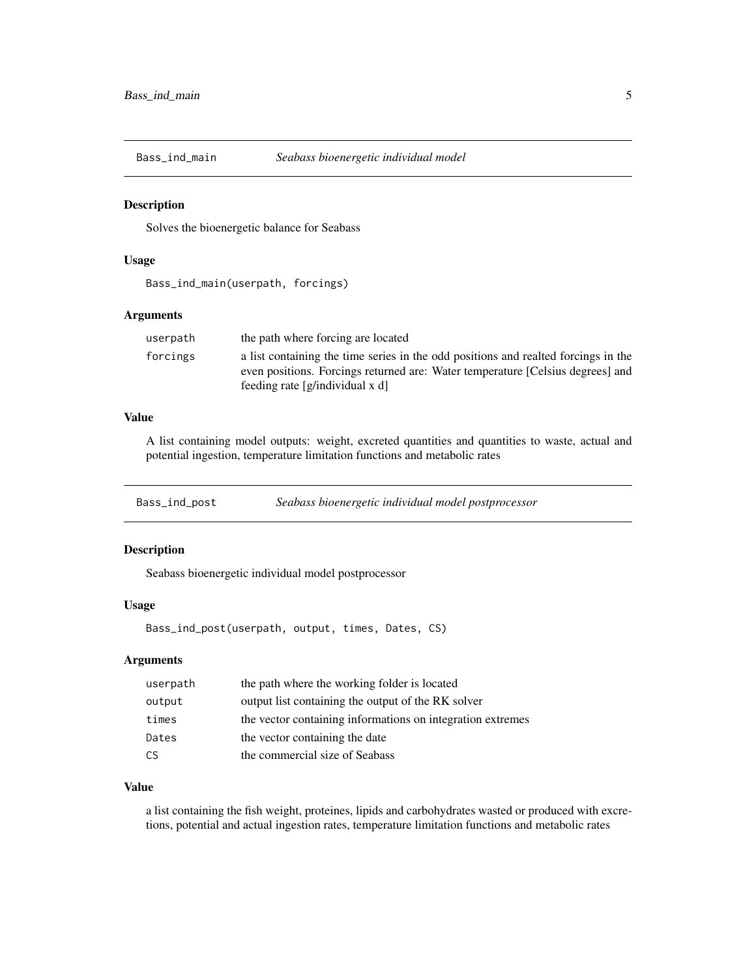<span id="page-4-0"></span>

#### Description

Solves the bioenergetic balance for Seabass

#### Usage

Bass\_ind\_main(userpath, forcings)

#### Arguments

| userpath | the path where forcing are located                                                                            |
|----------|---------------------------------------------------------------------------------------------------------------|
| forcings | a list containing the time series in the odd positions and realted forcings in the                            |
|          | even positions. Forcings returned are: Water temperature [Celsius degrees] and<br>feeding rate $[g/indivial]$ |
|          |                                                                                                               |

#### Value

A list containing model outputs: weight, excreted quantities and quantities to waste, actual and potential ingestion, temperature limitation functions and metabolic rates

Bass\_ind\_post *Seabass bioenergetic individual model postprocessor*

# Description

Seabass bioenergetic individual model postprocessor

#### Usage

Bass\_ind\_post(userpath, output, times, Dates, CS)

# Arguments

| userpath | the path where the working folder is located               |
|----------|------------------------------------------------------------|
| output   | output list containing the output of the RK solver         |
| times    | the vector containing informations on integration extremes |
| Dates    | the vector containing the date                             |
| CS.      | the commercial size of Seabass                             |

# Value

a list containing the fish weight, proteines, lipids and carbohydrates wasted or produced with excretions, potential and actual ingestion rates, temperature limitation functions and metabolic rates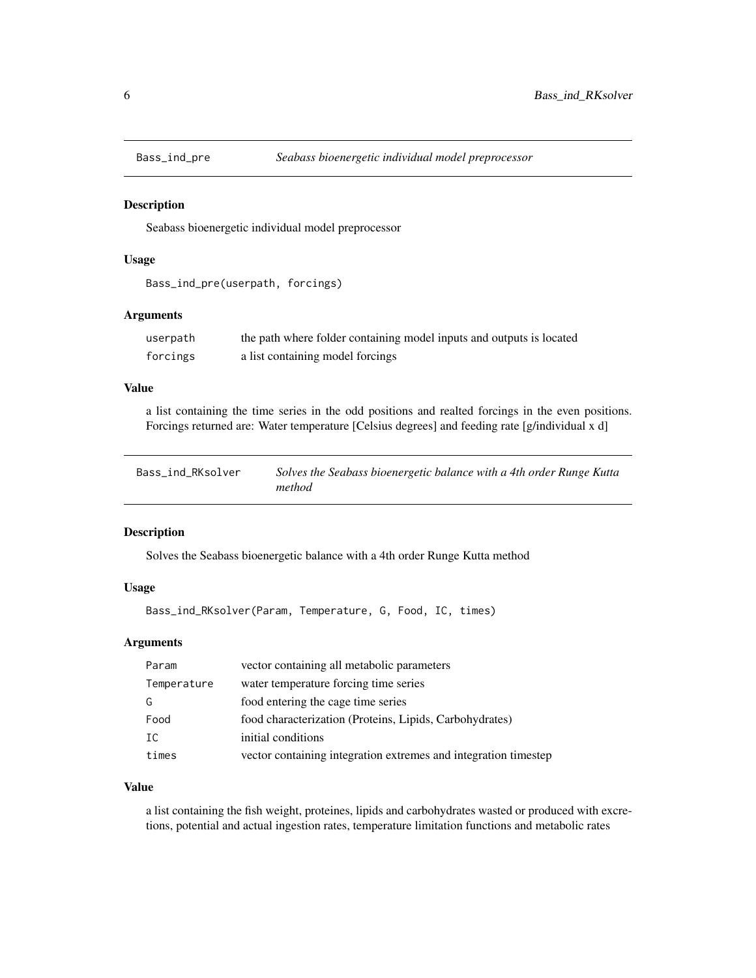<span id="page-5-0"></span>

#### Description

Seabass bioenergetic individual model preprocessor

#### Usage

```
Bass_ind_pre(userpath, forcings)
```
#### Arguments

| userpath | the path where folder containing model inputs and outputs is located |
|----------|----------------------------------------------------------------------|
| forcings | a list containing model forcings                                     |

# Value

a list containing the time series in the odd positions and realted forcings in the even positions. Forcings returned are: Water temperature [Celsius degrees] and feeding rate [g/individual x d]

| Bass_ind_RKsolver | Solves the Seabass bioenergetic balance with a 4th order Runge Kutta |
|-------------------|----------------------------------------------------------------------|
|                   | method                                                               |

#### Description

Solves the Seabass bioenergetic balance with a 4th order Runge Kutta method

# Usage

```
Bass_ind_RKsolver(Param, Temperature, G, Food, IC, times)
```
#### Arguments

| Param       | vector containing all metabolic parameters                      |
|-------------|-----------------------------------------------------------------|
| Temperature | water temperature forcing time series                           |
| G           | food entering the cage time series                              |
| Food        | food characterization (Proteins, Lipids, Carbohydrates)         |
| IC.         | initial conditions                                              |
| times       | vector containing integration extremes and integration timestep |

# Value

a list containing the fish weight, proteines, lipids and carbohydrates wasted or produced with excretions, potential and actual ingestion rates, temperature limitation functions and metabolic rates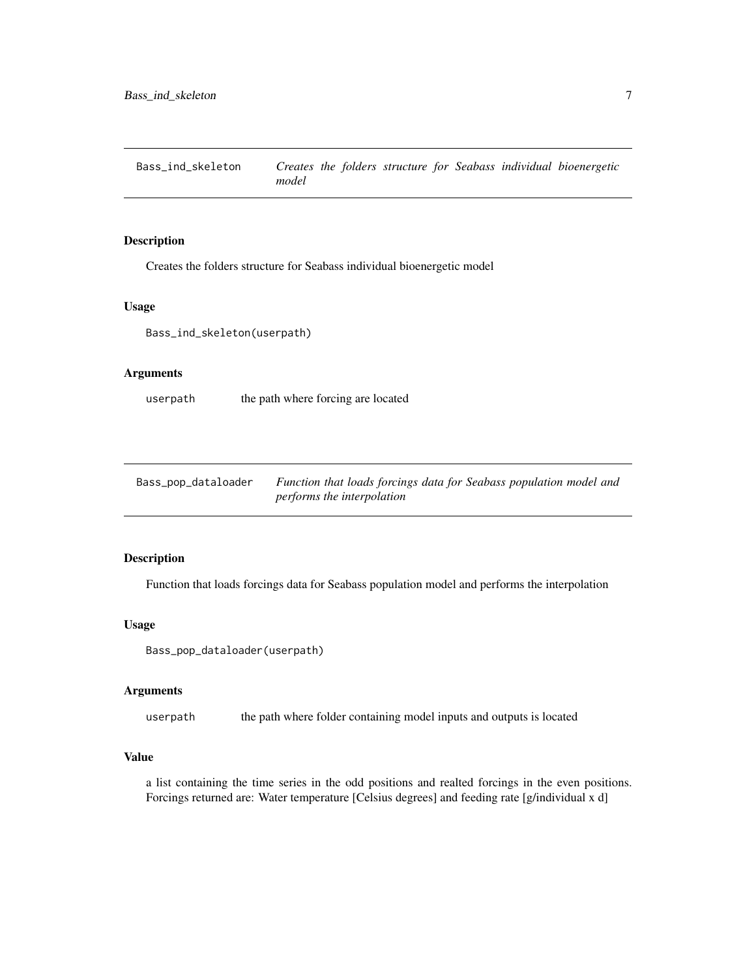<span id="page-6-0"></span>Bass\_ind\_skeleton *Creates the folders structure for Seabass individual bioenergetic model*

#### Description

Creates the folders structure for Seabass individual bioenergetic model

#### Usage

Bass\_ind\_skeleton(userpath)

# Arguments

userpath the path where forcing are located

| Bass_pop_dataloader | Function that loads forcings data for Seabass population model and |
|---------------------|--------------------------------------------------------------------|
|                     | performs the interpolation                                         |

#### Description

Function that loads forcings data for Seabass population model and performs the interpolation

#### Usage

```
Bass_pop_dataloader(userpath)
```
#### Arguments

userpath the path where folder containing model inputs and outputs is located

# Value

a list containing the time series in the odd positions and realted forcings in the even positions. Forcings returned are: Water temperature [Celsius degrees] and feeding rate [g/individual x d]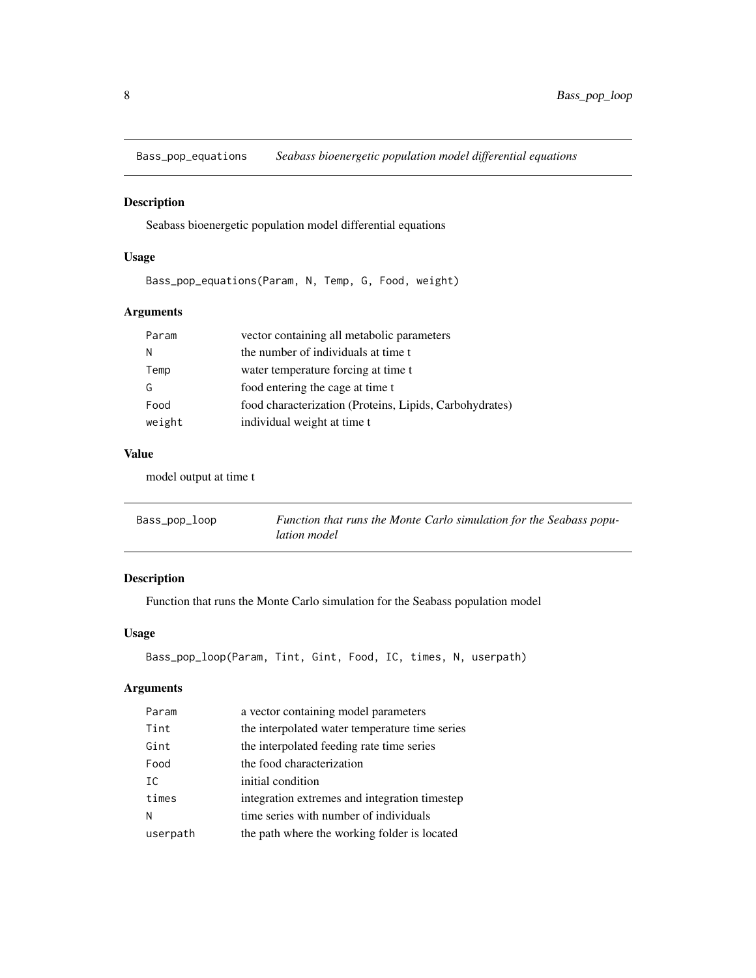<span id="page-7-0"></span>Bass\_pop\_equations *Seabass bioenergetic population model differential equations*

# Description

Seabass bioenergetic population model differential equations

# Usage

Bass\_pop\_equations(Param, N, Temp, G, Food, weight)

# Arguments

| vector containing all metabolic parameters<br>Param             |  |
|-----------------------------------------------------------------|--|
| the number of individuals at time t<br>N                        |  |
| water temperature forcing at time t<br>Temp                     |  |
| food entering the cage at time t<br>G                           |  |
| food characterization (Proteins, Lipids, Carbohydrates)<br>Food |  |
| individual weight at time t<br>weight                           |  |

#### Value

model output at time t

| Bass_pop_loop | Function that runs the Monte Carlo simulation for the Seabass popu- |
|---------------|---------------------------------------------------------------------|
|               | lation model                                                        |

# Description

Function that runs the Monte Carlo simulation for the Seabass population model

# Usage

```
Bass_pop_loop(Param, Tint, Gint, Food, IC, times, N, userpath)
```

| Param    | a vector containing model parameters           |
|----------|------------------------------------------------|
| Tint     | the interpolated water temperature time series |
| Gint     | the interpolated feeding rate time series      |
| Food     | the food characterization                      |
| TC.      | initial condition                              |
| times    | integration extremes and integration timestep  |
| N        | time series with number of individuals         |
| userpath | the path where the working folder is located   |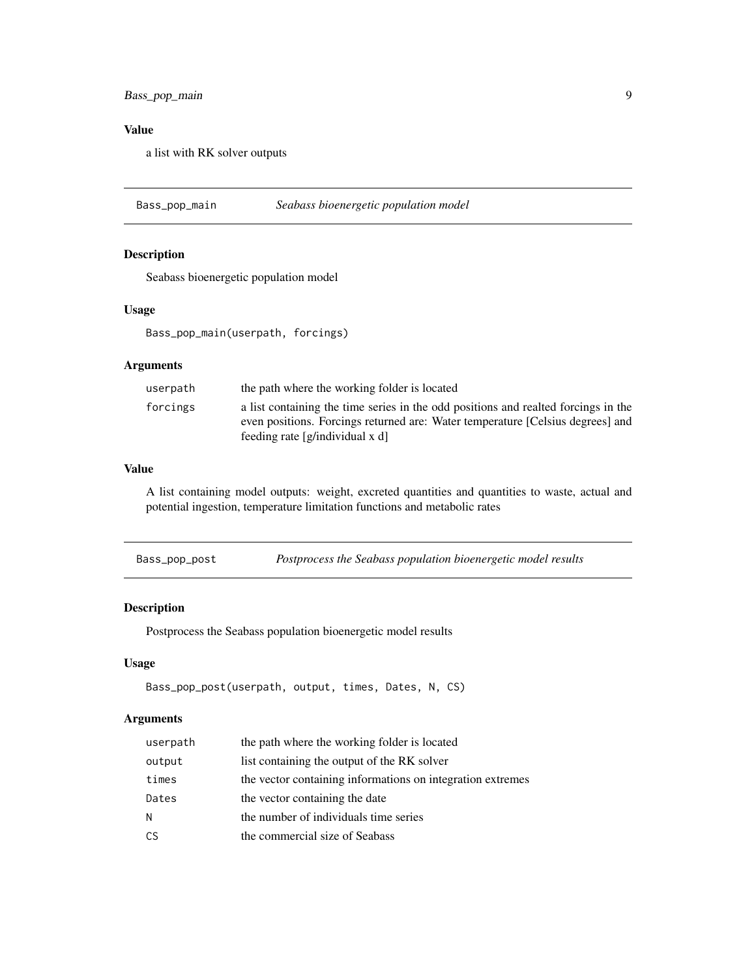<span id="page-8-0"></span>a list with RK solver outputs

Bass\_pop\_main *Seabass bioenergetic population model*

# Description

Seabass bioenergetic population model

#### Usage

Bass\_pop\_main(userpath, forcings)

# Arguments

| a list containing the time series in the odd positions and realted forcings in the<br>forcings                    |  |
|-------------------------------------------------------------------------------------------------------------------|--|
| even positions. Forcings returned are: Water temperature [Celsius degrees] and<br>feeding rate [g/individual x d] |  |

#### Value

A list containing model outputs: weight, excreted quantities and quantities to waste, actual and potential ingestion, temperature limitation functions and metabolic rates

| Bass_pop_post |  | Postprocess the Seabass population bioenergetic model results |
|---------------|--|---------------------------------------------------------------|
|---------------|--|---------------------------------------------------------------|

# Description

Postprocess the Seabass population bioenergetic model results

#### Usage

```
Bass_pop_post(userpath, output, times, Dates, N, CS)
```

| userpath | the path where the working folder is located               |
|----------|------------------------------------------------------------|
| output   | list containing the output of the RK solver                |
| times    | the vector containing informations on integration extremes |
| Dates    | the vector containing the date                             |
| N        | the number of individuals time series                      |
| CS       | the commercial size of Seabass                             |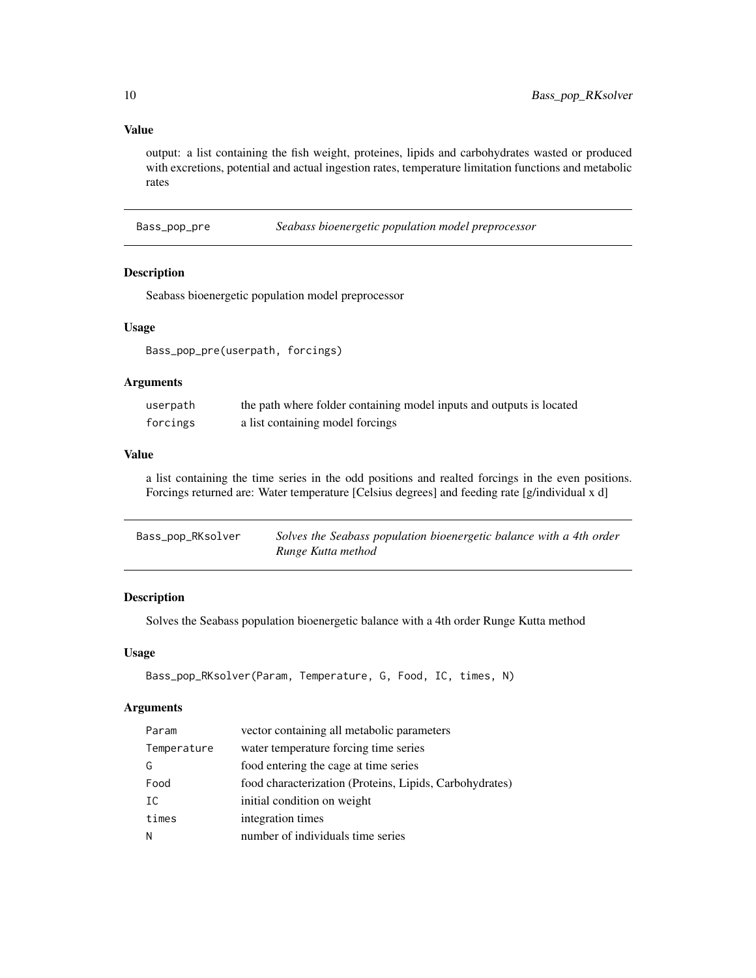output: a list containing the fish weight, proteines, lipids and carbohydrates wasted or produced with excretions, potential and actual ingestion rates, temperature limitation functions and metabolic rates

Bass\_pop\_pre *Seabass bioenergetic population model preprocessor*

# Description

Seabass bioenergetic population model preprocessor

#### Usage

Bass\_pop\_pre(userpath, forcings)

# Arguments

| userpath | the path where folder containing model inputs and outputs is located |
|----------|----------------------------------------------------------------------|
| forcings | a list containing model forcings                                     |

# Value

a list containing the time series in the odd positions and realted forcings in the even positions. Forcings returned are: Water temperature [Celsius degrees] and feeding rate [g/individual x d]

| Bass_pop_RKsolver | Solves the Seabass population bioenergetic balance with a 4th order |
|-------------------|---------------------------------------------------------------------|
|                   | Runge Kutta method                                                  |

# Description

Solves the Seabass population bioenergetic balance with a 4th order Runge Kutta method

# Usage

```
Bass_pop_RKsolver(Param, Temperature, G, Food, IC, times, N)
```

| Param       | vector containing all metabolic parameters              |
|-------------|---------------------------------------------------------|
| Temperature | water temperature forcing time series                   |
| G           | food entering the cage at time series                   |
| Food        | food characterization (Proteins, Lipids, Carbohydrates) |
| IC          | initial condition on weight                             |
| times       | integration times                                       |
| N           | number of individuals time series                       |

<span id="page-9-0"></span>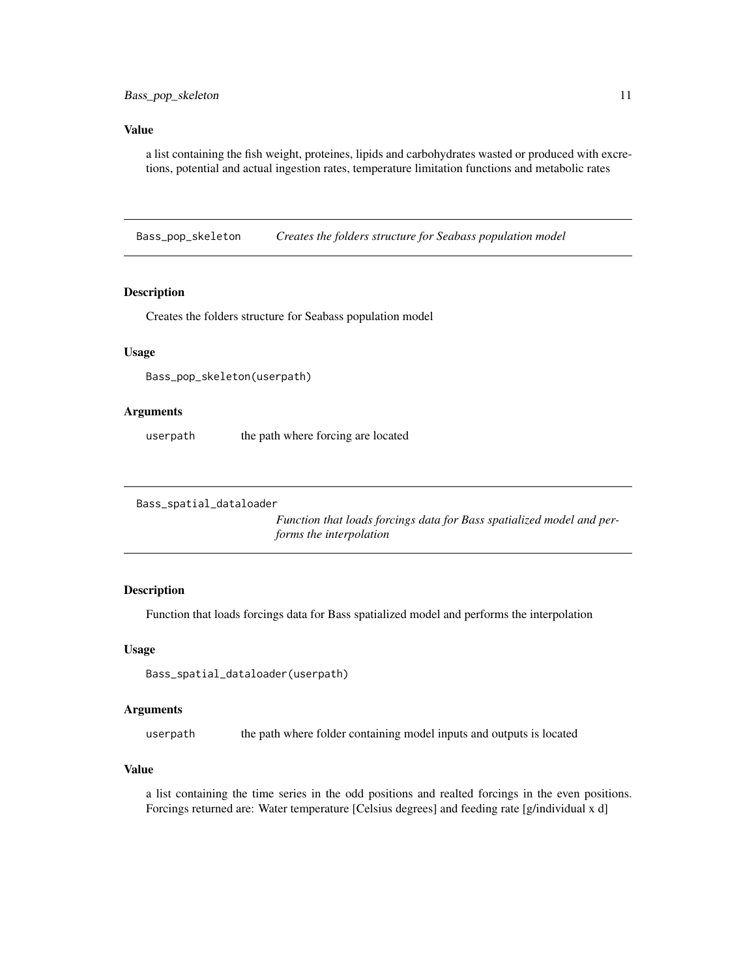<span id="page-10-0"></span>a list containing the fish weight, proteines, lipids and carbohydrates wasted or produced with excretions, potential and actual ingestion rates, temperature limitation functions and metabolic rates

Bass\_pop\_skeleton *Creates the folders structure for Seabass population model*

#### Description

Creates the folders structure for Seabass population model

#### Usage

Bass\_pop\_skeleton(userpath)

#### Arguments

userpath the path where forcing are located

```
Bass_spatial_dataloader
```
*Function that loads forcings data for Bass spatialized model and performs the interpolation*

# Description

Function that loads forcings data for Bass spatialized model and performs the interpolation

#### Usage

Bass\_spatial\_dataloader(userpath)

#### Arguments

userpath the path where folder containing model inputs and outputs is located

#### Value

a list containing the time series in the odd positions and realted forcings in the even positions. Forcings returned are: Water temperature [Celsius degrees] and feeding rate [g/individual x d]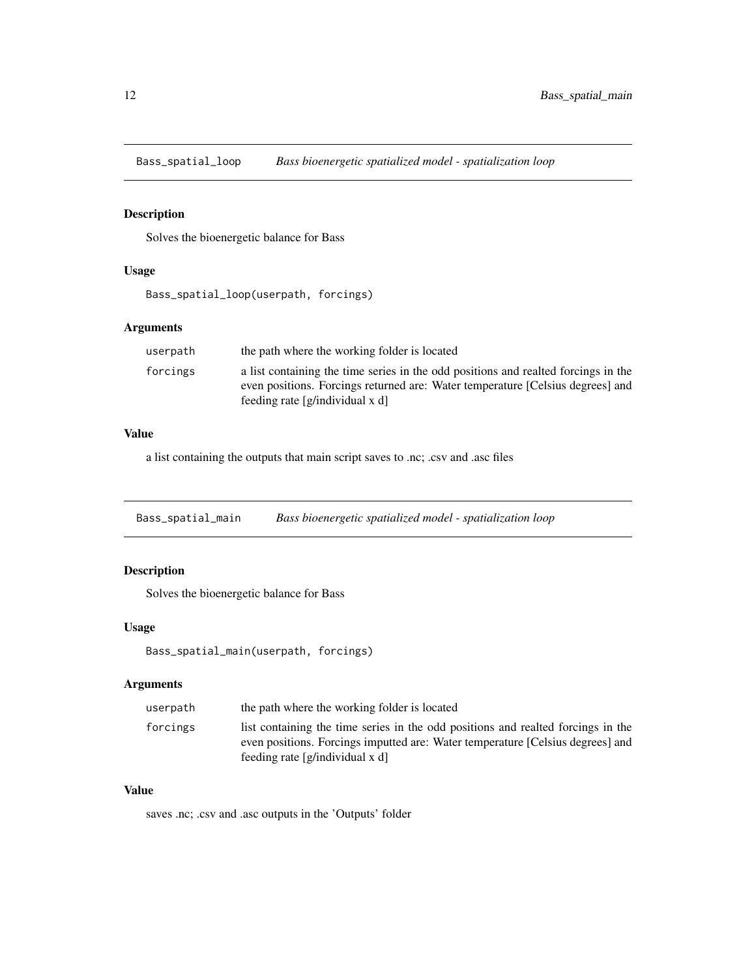<span id="page-11-0"></span>Bass\_spatial\_loop *Bass bioenergetic spatialized model - spatialization loop*

# Description

Solves the bioenergetic balance for Bass

# Usage

Bass\_spatial\_loop(userpath, forcings)

# Arguments

| userpath | the path where the working folder is located                                                                                                                                                            |
|----------|---------------------------------------------------------------------------------------------------------------------------------------------------------------------------------------------------------|
| forcings | a list containing the time series in the odd positions and realted forcings in the<br>even positions. Forcings returned are: Water temperature [Celsius degrees] and<br>feeding rate [g/individual x d] |

# Value

a list containing the outputs that main script saves to .nc; .csv and .asc files

Bass\_spatial\_main *Bass bioenergetic spatialized model - spatialization loop*

# Description

Solves the bioenergetic balance for Bass

# Usage

```
Bass_spatial_main(userpath, forcings)
```
# Arguments

| userpath | the path where the working folder is located                                                                                                                                                          |
|----------|-------------------------------------------------------------------------------------------------------------------------------------------------------------------------------------------------------|
| forcings | list containing the time series in the odd positions and realted forcings in the<br>even positions. Forcings imputted are: Water temperature [Celsius degrees] and<br>feeding rate $[g/indivial]$ x d |

# Value

saves .nc; .csv and .asc outputs in the 'Outputs' folder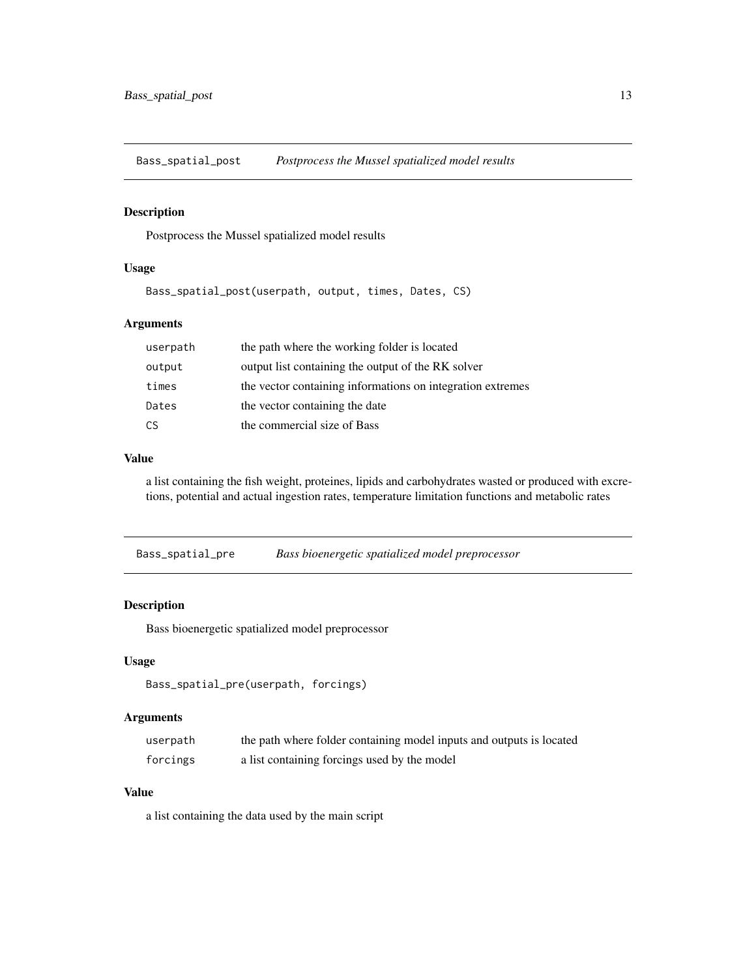<span id="page-12-0"></span>Bass\_spatial\_post *Postprocess the Mussel spatialized model results*

# Description

Postprocess the Mussel spatialized model results

#### Usage

Bass\_spatial\_post(userpath, output, times, Dates, CS)

# Arguments

| userpath | the path where the working folder is located               |
|----------|------------------------------------------------------------|
| output   | output list containing the output of the RK solver         |
| times    | the vector containing informations on integration extremes |
| Dates    | the vector containing the date                             |
| CS       | the commercial size of Bass                                |

#### Value

a list containing the fish weight, proteines, lipids and carbohydrates wasted or produced with excretions, potential and actual ingestion rates, temperature limitation functions and metabolic rates

Bass\_spatial\_pre *Bass bioenergetic spatialized model preprocessor*

# Description

Bass bioenergetic spatialized model preprocessor

#### Usage

```
Bass_spatial_pre(userpath, forcings)
```
#### Arguments

| userpath | the path where folder containing model inputs and outputs is located |
|----------|----------------------------------------------------------------------|
| forcings | a list containing forcings used by the model                         |

#### Value

a list containing the data used by the main script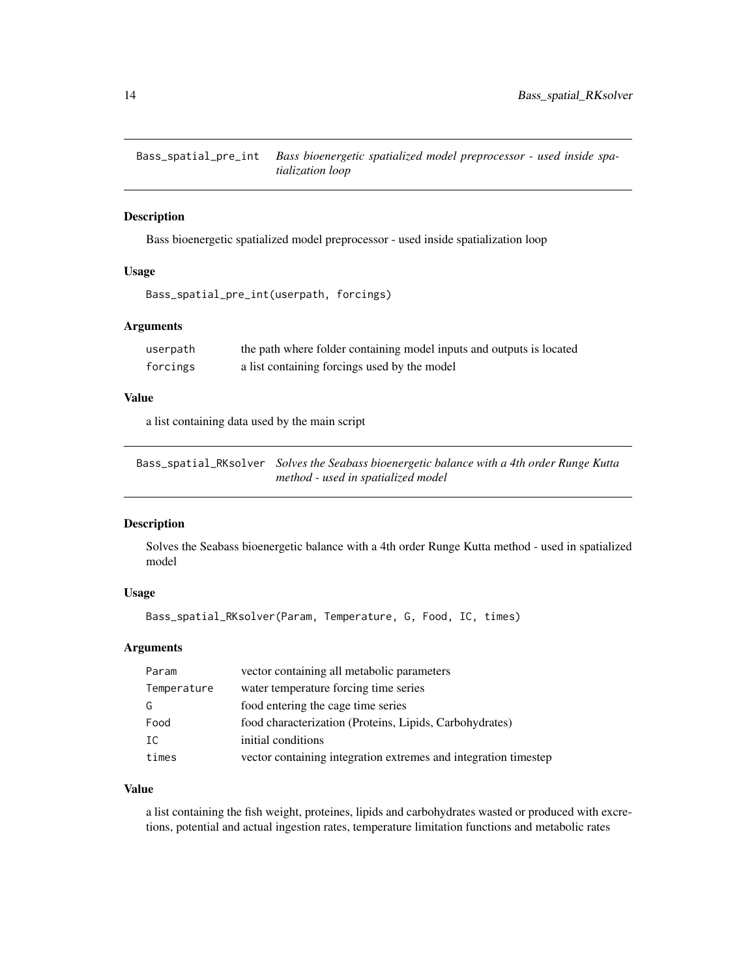<span id="page-13-0"></span>Bass\_spatial\_pre\_int *Bass bioenergetic spatialized model preprocessor - used inside spatialization loop*

# Description

Bass bioenergetic spatialized model preprocessor - used inside spatialization loop

# Usage

```
Bass_spatial_pre_int(userpath, forcings)
```
# Arguments

| userpath | the path where folder containing model inputs and outputs is located |
|----------|----------------------------------------------------------------------|
| forcings | a list containing forcings used by the model                         |

#### Value

a list containing data used by the main script

Bass\_spatial\_RKsolver *Solves the Seabass bioenergetic balance with a 4th order Runge Kutta method - used in spatialized model*

# Description

Solves the Seabass bioenergetic balance with a 4th order Runge Kutta method - used in spatialized model

#### Usage

```
Bass_spatial_RKsolver(Param, Temperature, G, Food, IC, times)
```
#### Arguments

| Param       | vector containing all metabolic parameters                      |
|-------------|-----------------------------------------------------------------|
| Temperature | water temperature forcing time series                           |
| G           | food entering the cage time series                              |
| Food        | food characterization (Proteins, Lipids, Carbohydrates)         |
| TC.         | initial conditions                                              |
| times       | vector containing integration extremes and integration timestep |

# Value

a list containing the fish weight, proteines, lipids and carbohydrates wasted or produced with excretions, potential and actual ingestion rates, temperature limitation functions and metabolic rates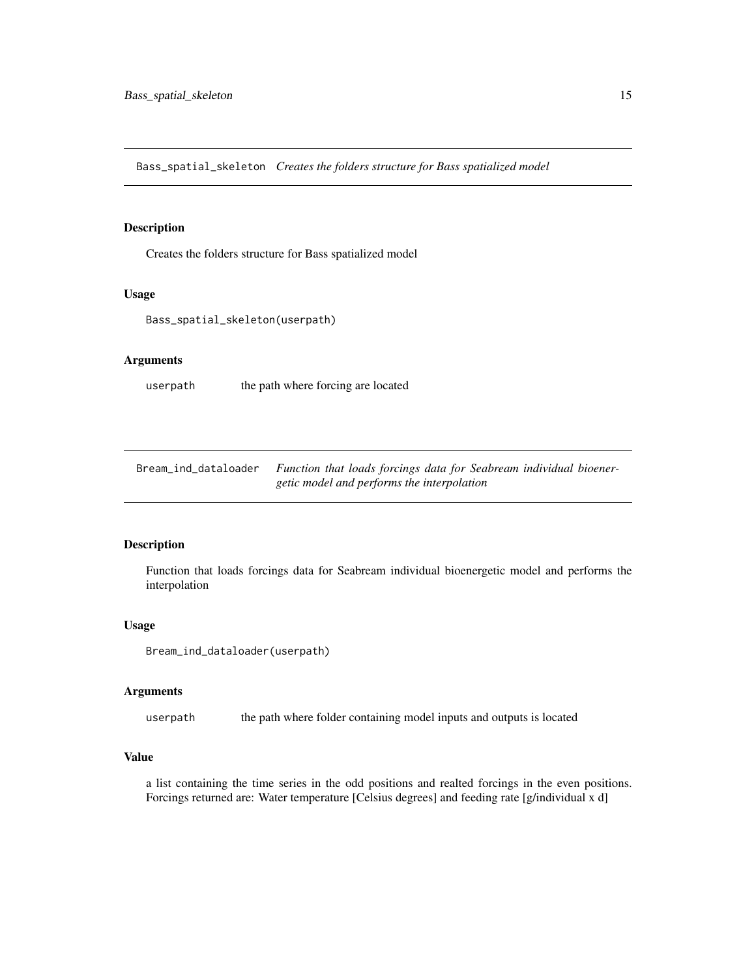<span id="page-14-0"></span>Bass\_spatial\_skeleton *Creates the folders structure for Bass spatialized model*

#### Description

Creates the folders structure for Bass spatialized model

#### Usage

```
Bass_spatial_skeleton(userpath)
```
# Arguments

userpath the path where forcing are located

Bream\_ind\_dataloader *Function that loads forcings data for Seabream individual bioenergetic model and performs the interpolation*

# Description

Function that loads forcings data for Seabream individual bioenergetic model and performs the interpolation

#### Usage

Bream\_ind\_dataloader(userpath)

#### Arguments

userpath the path where folder containing model inputs and outputs is located

# Value

a list containing the time series in the odd positions and realted forcings in the even positions. Forcings returned are: Water temperature [Celsius degrees] and feeding rate [g/individual x d]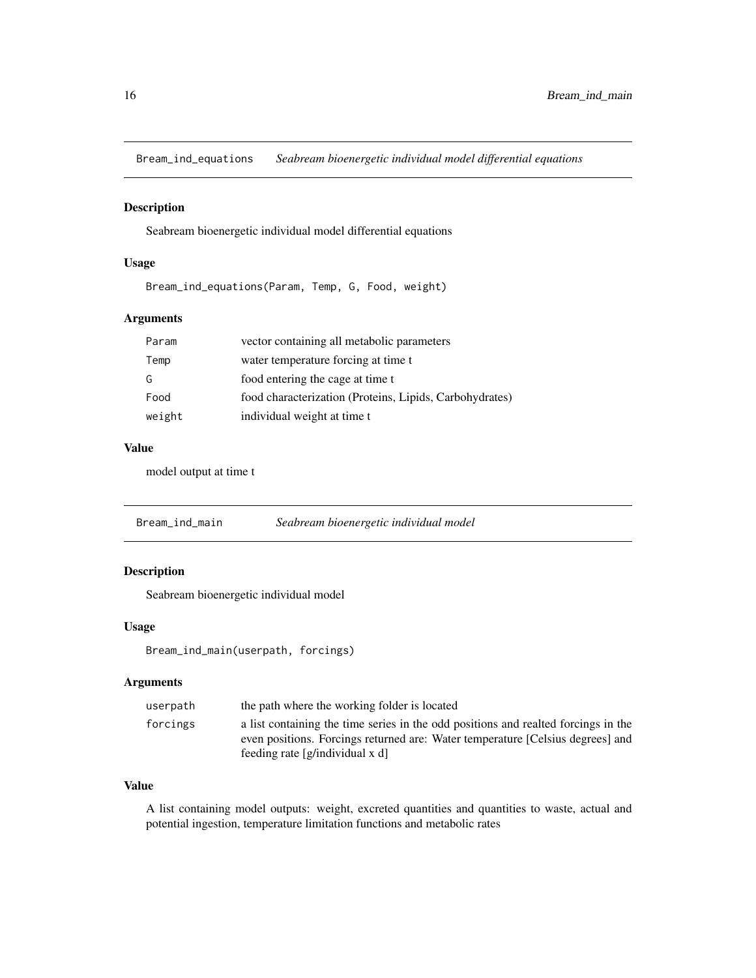<span id="page-15-0"></span>Bream\_ind\_equations *Seabream bioenergetic individual model differential equations*

#### Description

Seabream bioenergetic individual model differential equations

#### Usage

Bream\_ind\_equations(Param, Temp, G, Food, weight)

# Arguments

| Param  | vector containing all metabolic parameters              |
|--------|---------------------------------------------------------|
| Temp   | water temperature forcing at time t                     |
| G      | food entering the cage at time t                        |
| Food   | food characterization (Proteins, Lipids, Carbohydrates) |
| weight | individual weight at time t                             |

# Value

model output at time t

Bream\_ind\_main *Seabream bioenergetic individual model*

# Description

Seabream bioenergetic individual model

# Usage

Bream\_ind\_main(userpath, forcings)

# Arguments

| userpath | the path where the working folder is located                                                                                                                         |
|----------|----------------------------------------------------------------------------------------------------------------------------------------------------------------------|
| forcings | a list containing the time series in the odd positions and realted forcings in the<br>even positions. Forcings returned are: Water temperature [Celsius degrees] and |
|          | feeding rate $[g/indivial]$ x d                                                                                                                                      |

#### Value

A list containing model outputs: weight, excreted quantities and quantities to waste, actual and potential ingestion, temperature limitation functions and metabolic rates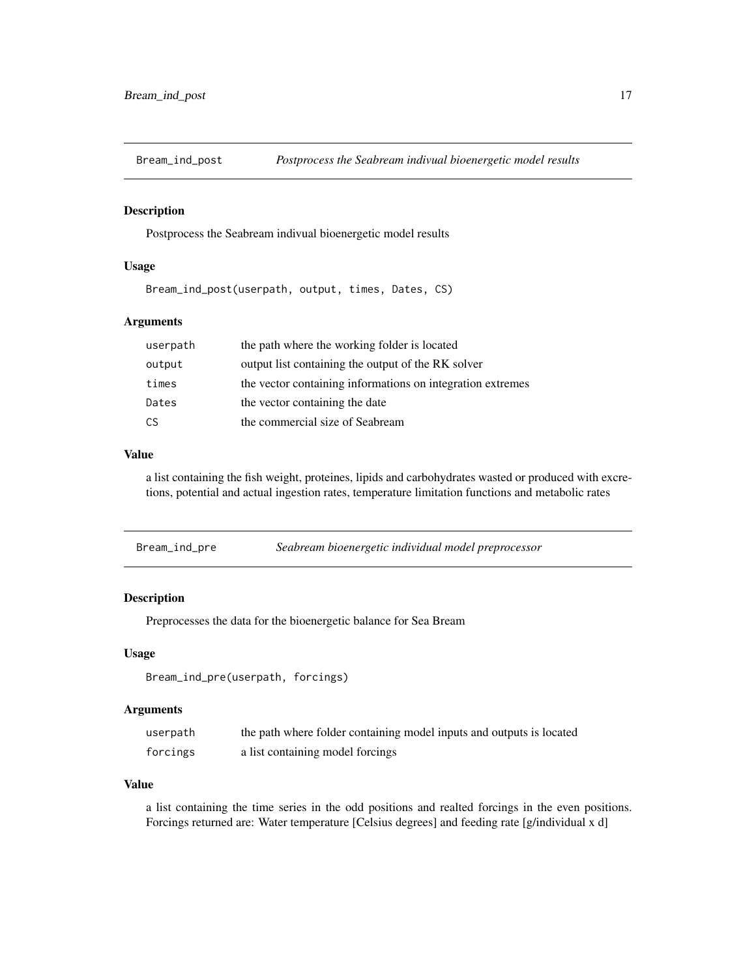<span id="page-16-0"></span>

# Description

Postprocess the Seabream indivual bioenergetic model results

#### Usage

Bream\_ind\_post(userpath, output, times, Dates, CS)

#### Arguments

| userpath | the path where the working folder is located               |
|----------|------------------------------------------------------------|
| output   | output list containing the output of the RK solver         |
| times    | the vector containing informations on integration extremes |
| Dates    | the vector containing the date                             |
| CS       | the commercial size of Seabream                            |

# Value

a list containing the fish weight, proteines, lipids and carbohydrates wasted or produced with excretions, potential and actual ingestion rates, temperature limitation functions and metabolic rates

| Bream_ind_pre | Seabream bioenergetic individual model preprocessor |
|---------------|-----------------------------------------------------|
|---------------|-----------------------------------------------------|

# Description

Preprocesses the data for the bioenergetic balance for Sea Bream

#### Usage

Bream\_ind\_pre(userpath, forcings)

#### Arguments

| userpath | the path where folder containing model inputs and outputs is located |
|----------|----------------------------------------------------------------------|
| forcings | a list containing model forcings                                     |

# Value

a list containing the time series in the odd positions and realted forcings in the even positions. Forcings returned are: Water temperature [Celsius degrees] and feeding rate [g/individual x d]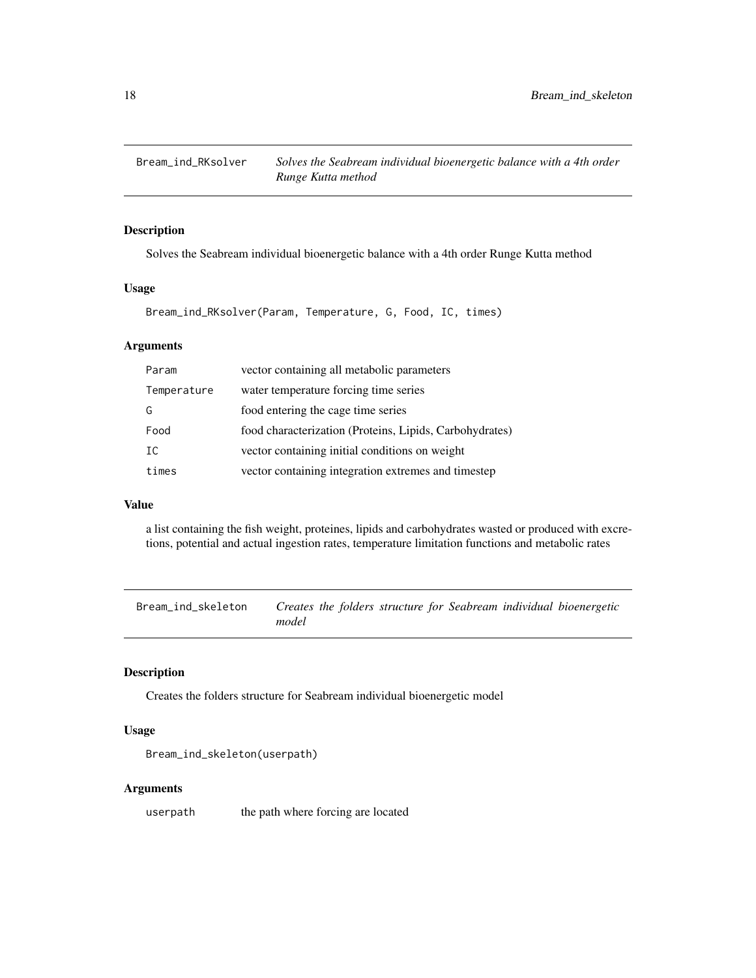<span id="page-17-0"></span>

# Description

Solves the Seabream individual bioenergetic balance with a 4th order Runge Kutta method

#### Usage

Bream\_ind\_RKsolver(Param, Temperature, G, Food, IC, times)

# Arguments

| Param       | vector containing all metabolic parameters              |
|-------------|---------------------------------------------------------|
| Temperature | water temperature forcing time series                   |
| G           | food entering the cage time series                      |
| Food        | food characterization (Proteins, Lipids, Carbohydrates) |
| IC          | vector containing initial conditions on weight          |
| times       | vector containing integration extremes and timestep     |

#### Value

a list containing the fish weight, proteines, lipids and carbohydrates wasted or produced with excretions, potential and actual ingestion rates, temperature limitation functions and metabolic rates

Bream\_ind\_skeleton *Creates the folders structure for Seabream individual bioenergetic model*

# Description

Creates the folders structure for Seabream individual bioenergetic model

#### Usage

```
Bream_ind_skeleton(userpath)
```
#### Arguments

userpath the path where forcing are located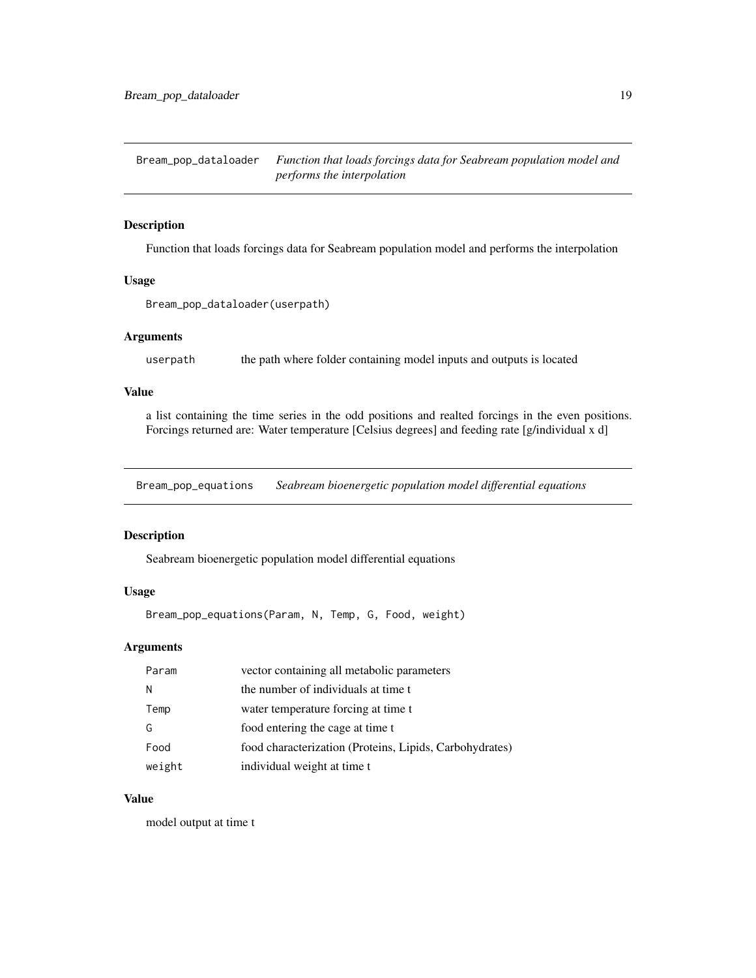<span id="page-18-0"></span>Bream\_pop\_dataloader *Function that loads forcings data for Seabream population model and performs the interpolation*

# Description

Function that loads forcings data for Seabream population model and performs the interpolation

#### Usage

```
Bream_pop_dataloader(userpath)
```
#### Arguments

userpath the path where folder containing model inputs and outputs is located

# Value

a list containing the time series in the odd positions and realted forcings in the even positions. Forcings returned are: Water temperature [Celsius degrees] and feeding rate [g/individual x d]

Bream\_pop\_equations *Seabream bioenergetic population model differential equations*

# Description

Seabream bioenergetic population model differential equations

# Usage

Bream\_pop\_equations(Param, N, Temp, G, Food, weight)

# Arguments

| Param  | vector containing all metabolic parameters              |
|--------|---------------------------------------------------------|
| N      | the number of individuals at time t                     |
| Temp   | water temperature forcing at time t                     |
| G      | food entering the cage at time t                        |
| Food   | food characterization (Proteins, Lipids, Carbohydrates) |
| weight | individual weight at time t                             |

#### Value

model output at time t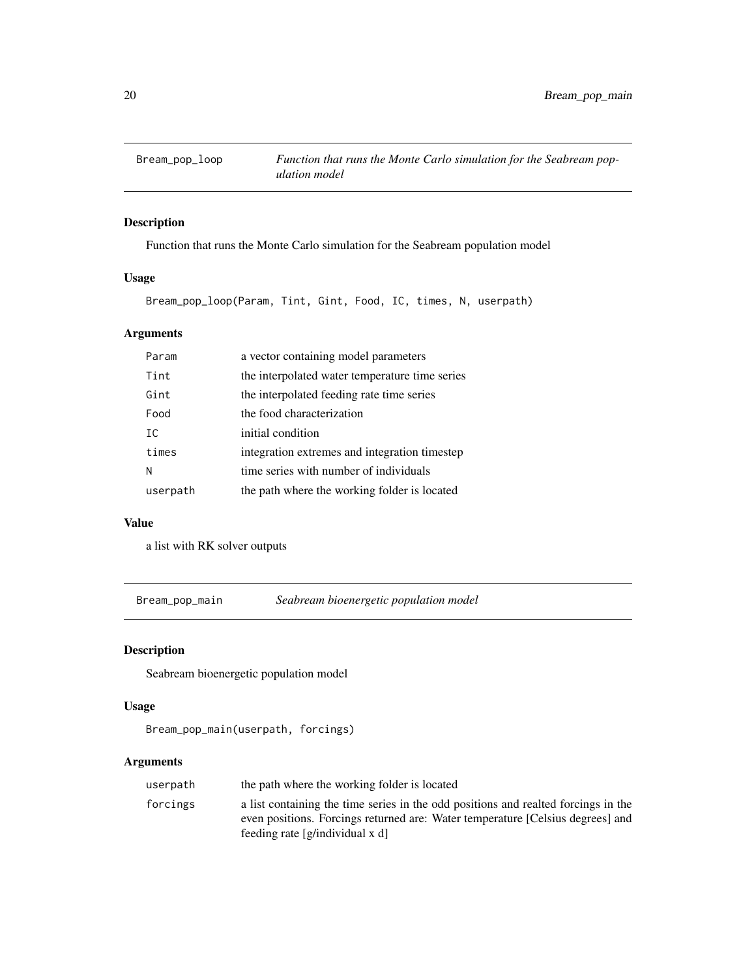<span id="page-19-0"></span>

# Description

Function that runs the Monte Carlo simulation for the Seabream population model

# Usage

Bream\_pop\_loop(Param, Tint, Gint, Food, IC, times, N, userpath)

# Arguments

| Param    | a vector containing model parameters           |
|----------|------------------------------------------------|
| Tint     | the interpolated water temperature time series |
| Gint     | the interpolated feeding rate time series      |
| Food     | the food characterization                      |
| TC.      | initial condition                              |
| times    | integration extremes and integration timestep  |
| N        | time series with number of individuals         |
| userpath | the path where the working folder is located   |

# Value

a list with RK solver outputs

Bream\_pop\_main *Seabream bioenergetic population model*

# Description

Seabream bioenergetic population model

# Usage

```
Bream_pop_main(userpath, forcings)
```

| userpath | the path where the working folder is located                                                                                                                         |
|----------|----------------------------------------------------------------------------------------------------------------------------------------------------------------------|
| forcings | a list containing the time series in the odd positions and realted forcings in the<br>even positions. Forcings returned are: Water temperature [Celsius degrees] and |
|          | feeding rate $[g/indivial]$ x d                                                                                                                                      |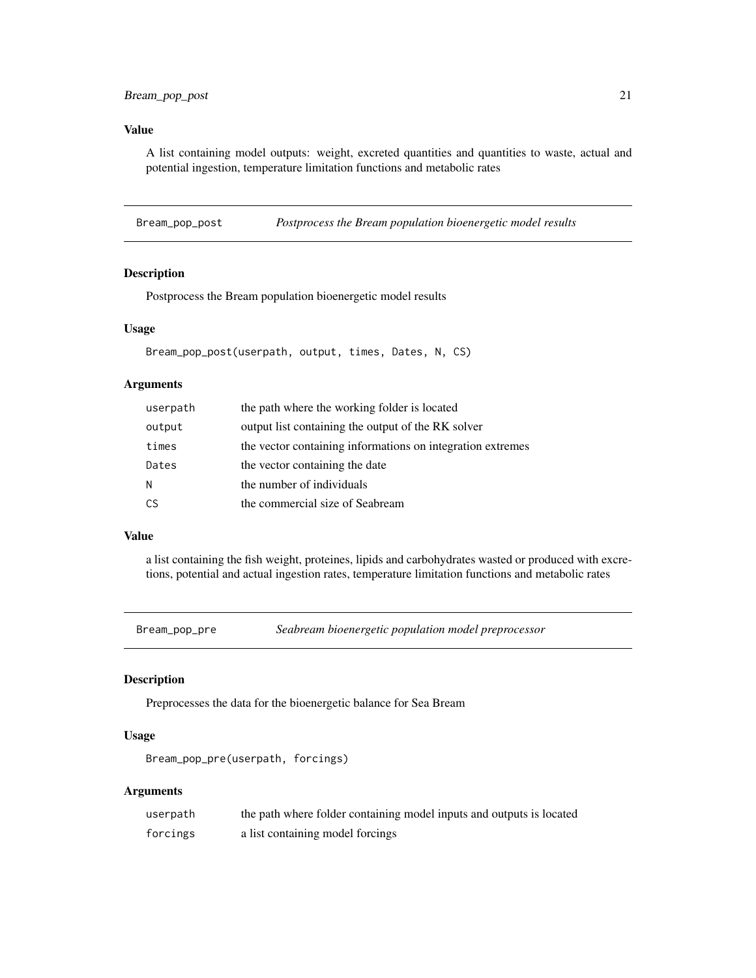<span id="page-20-0"></span>A list containing model outputs: weight, excreted quantities and quantities to waste, actual and potential ingestion, temperature limitation functions and metabolic rates

Bream\_pop\_post *Postprocess the Bream population bioenergetic model results*

# Description

Postprocess the Bream population bioenergetic model results

#### Usage

```
Bream_pop_post(userpath, output, times, Dates, N, CS)
```
#### **Arguments**

| userpath | the path where the working folder is located               |
|----------|------------------------------------------------------------|
| output   | output list containing the output of the RK solver         |
| times    | the vector containing informations on integration extremes |
| Dates    | the vector containing the date                             |
| N        | the number of individuals                                  |
| CS       | the commercial size of Seabream                            |

#### Value

a list containing the fish weight, proteines, lipids and carbohydrates wasted or produced with excretions, potential and actual ingestion rates, temperature limitation functions and metabolic rates

Bream\_pop\_pre *Seabream bioenergetic population model preprocessor*

# Description

Preprocesses the data for the bioenergetic balance for Sea Bream

# Usage

Bream\_pop\_pre(userpath, forcings)

| userpath | the path where folder containing model inputs and outputs is located |
|----------|----------------------------------------------------------------------|
| forcings | a list containing model forcings                                     |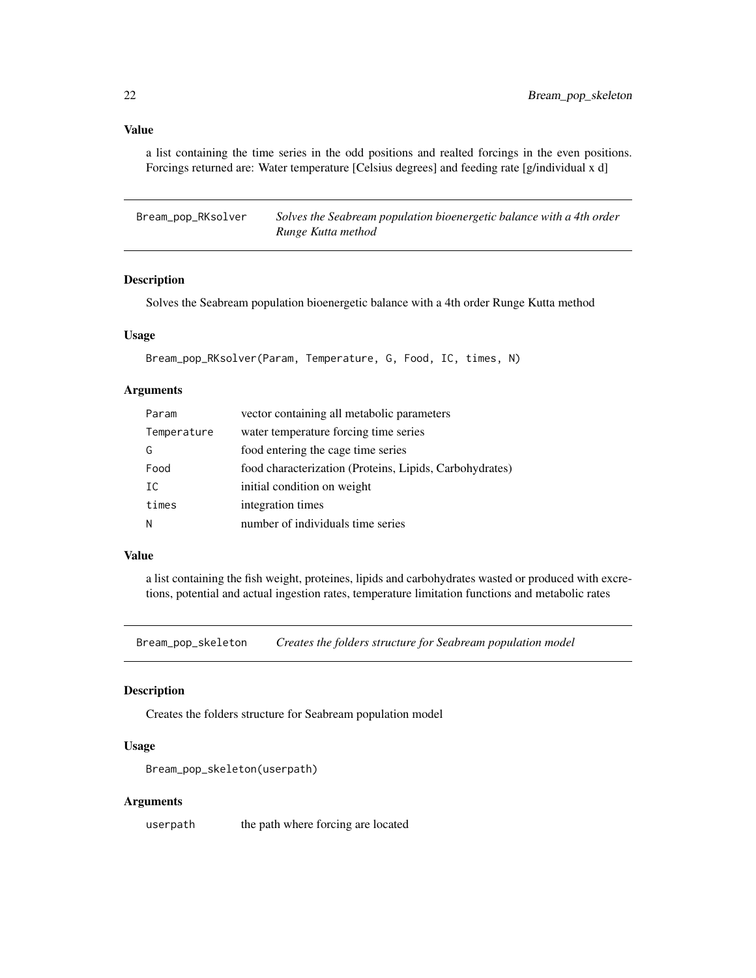a list containing the time series in the odd positions and realted forcings in the even positions. Forcings returned are: Water temperature [Celsius degrees] and feeding rate [g/individual x d]

Bream\_pop\_RKsolver *Solves the Seabream population bioenergetic balance with a 4th order Runge Kutta method*

#### Description

Solves the Seabream population bioenergetic balance with a 4th order Runge Kutta method

#### Usage

Bream\_pop\_RKsolver(Param, Temperature, G, Food, IC, times, N)

#### Arguments

| Param       | vector containing all metabolic parameters              |
|-------------|---------------------------------------------------------|
| Temperature | water temperature forcing time series                   |
| G           | food entering the cage time series                      |
| Food        | food characterization (Proteins, Lipids, Carbohydrates) |
| TC.         | initial condition on weight                             |
| times       | integration times                                       |
| N           | number of individuals time series                       |

# Value

a list containing the fish weight, proteines, lipids and carbohydrates wasted or produced with excretions, potential and actual ingestion rates, temperature limitation functions and metabolic rates

Bream\_pop\_skeleton *Creates the folders structure for Seabream population model*

#### Description

Creates the folders structure for Seabream population model

#### Usage

```
Bream_pop_skeleton(userpath)
```
#### Arguments

userpath the path where forcing are located

<span id="page-21-0"></span>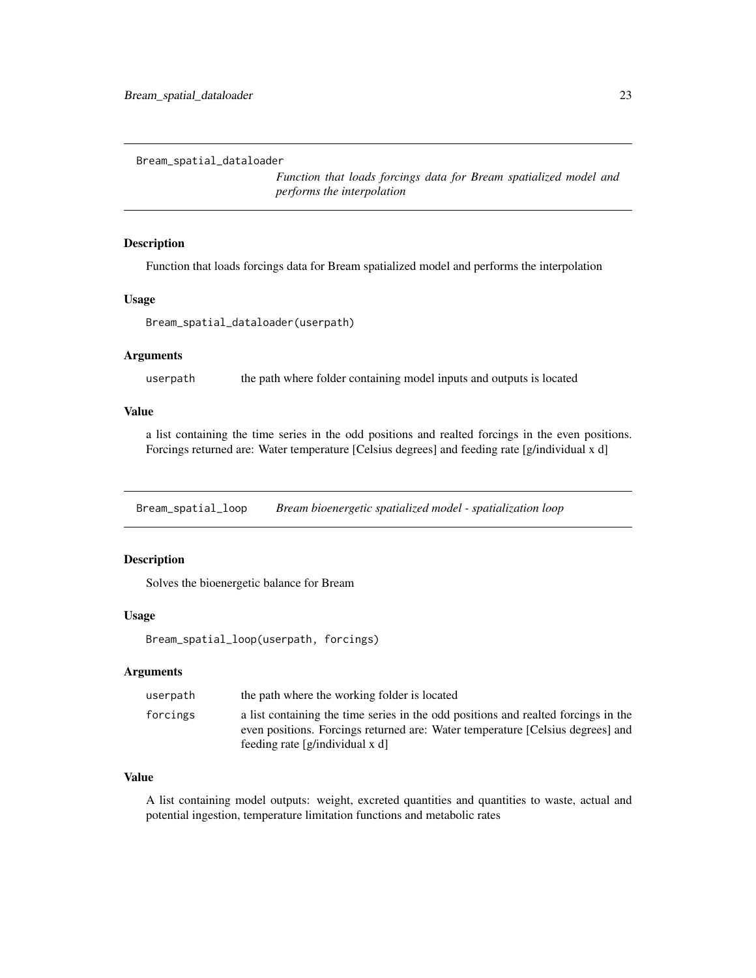<span id="page-22-0"></span>Bream\_spatial\_dataloader

*Function that loads forcings data for Bream spatialized model and performs the interpolation*

# Description

Function that loads forcings data for Bream spatialized model and performs the interpolation

# Usage

```
Bream_spatial_dataloader(userpath)
```
# Arguments

userpath the path where folder containing model inputs and outputs is located

# Value

a list containing the time series in the odd positions and realted forcings in the even positions. Forcings returned are: Water temperature [Celsius degrees] and feeding rate [g/individual x d]

Bream\_spatial\_loop *Bream bioenergetic spatialized model - spatialization loop*

#### Description

Solves the bioenergetic balance for Bream

#### Usage

Bream\_spatial\_loop(userpath, forcings)

# Arguments

| userpath | the path where the working folder is located                                                                                                                                                            |
|----------|---------------------------------------------------------------------------------------------------------------------------------------------------------------------------------------------------------|
| forcings | a list containing the time series in the odd positions and realted forcings in the<br>even positions. Forcings returned are: Water temperature [Celsius degrees] and<br>feeding rate [g/individual x d] |

# Value

A list containing model outputs: weight, excreted quantities and quantities to waste, actual and potential ingestion, temperature limitation functions and metabolic rates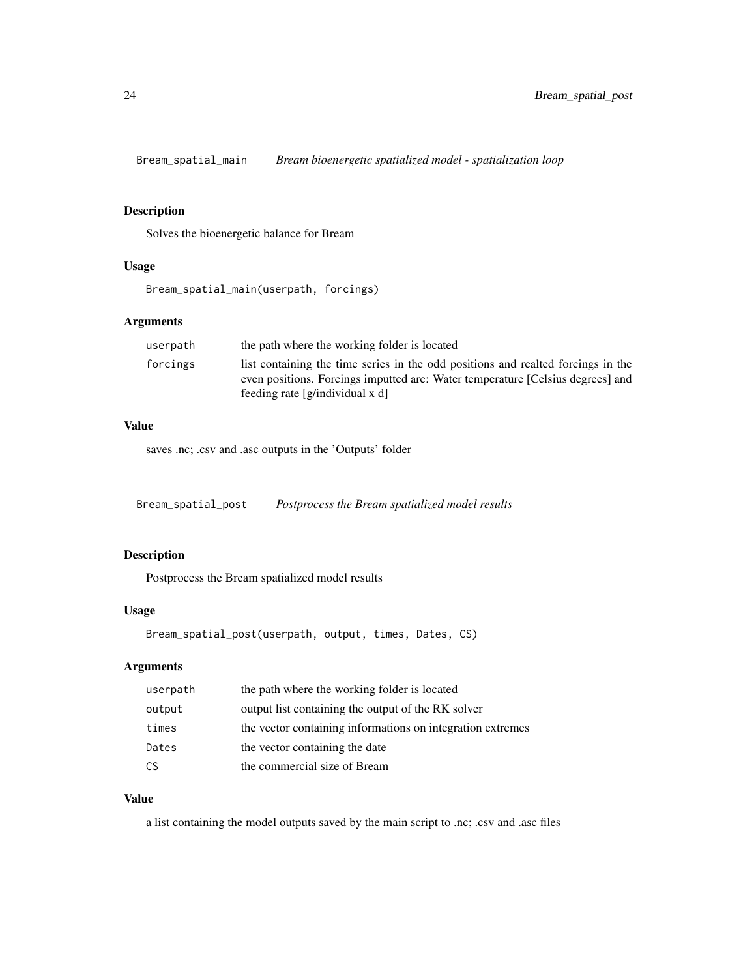<span id="page-23-0"></span>Bream\_spatial\_main *Bream bioenergetic spatialized model - spatialization loop*

# Description

Solves the bioenergetic balance for Bream

#### Usage

Bream\_spatial\_main(userpath, forcings)

# Arguments

| userpath | the path where the working folder is located                                     |
|----------|----------------------------------------------------------------------------------|
| forcings | list containing the time series in the odd positions and realted forcings in the |
|          | even positions. Forcings imputted are: Water temperature [Celsius degrees] and   |
|          | feeding rate $[g/indivial]$                                                      |

#### Value

saves .nc; .csv and .asc outputs in the 'Outputs' folder

Bream\_spatial\_post *Postprocess the Bream spatialized model results*

# Description

Postprocess the Bream spatialized model results

# Usage

Bream\_spatial\_post(userpath, output, times, Dates, CS)

# Arguments

| userpath | the path where the working folder is located               |
|----------|------------------------------------------------------------|
| output   | output list containing the output of the RK solver         |
| times    | the vector containing informations on integration extremes |
| Dates    | the vector containing the date                             |
| CS.      | the commercial size of Bream                               |

# Value

a list containing the model outputs saved by the main script to .nc; .csv and .asc files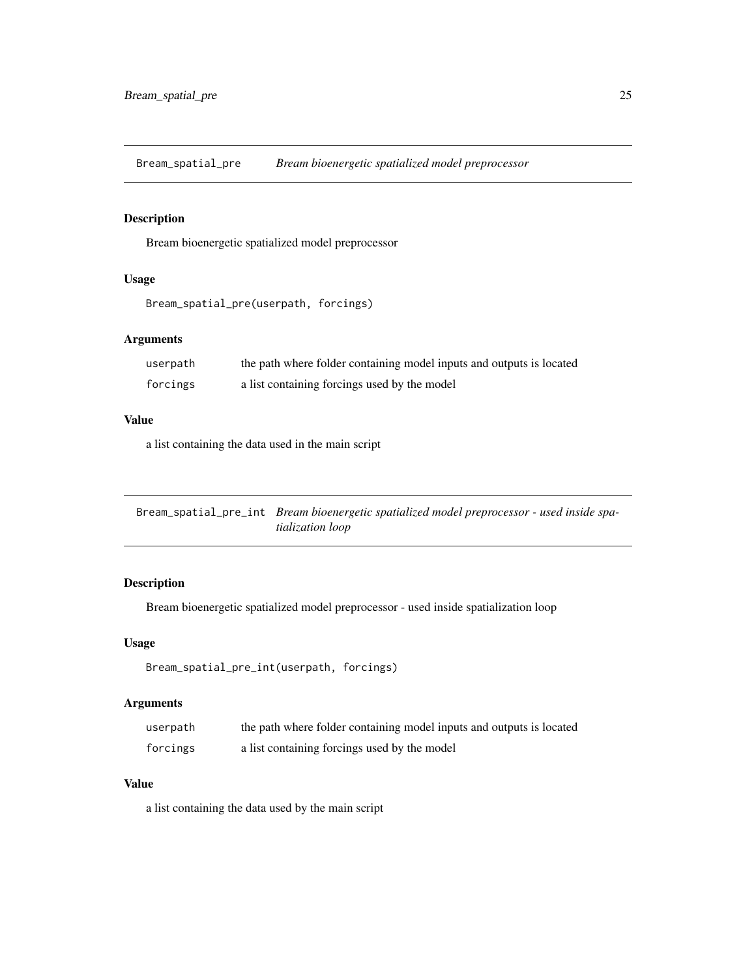<span id="page-24-0"></span>Bream\_spatial\_pre *Bream bioenergetic spatialized model preprocessor*

# Description

Bream bioenergetic spatialized model preprocessor

# Usage

```
Bream_spatial_pre(userpath, forcings)
```
# Arguments

| userpath | the path where folder containing model inputs and outputs is located |
|----------|----------------------------------------------------------------------|
| forcings | a list containing forcings used by the model                         |

# Value

a list containing the data used in the main script

Bream\_spatial\_pre\_int *Bream bioenergetic spatialized model preprocessor - used inside spatialization loop*

# Description

Bream bioenergetic spatialized model preprocessor - used inside spatialization loop

#### Usage

```
Bream_spatial_pre_int(userpath, forcings)
```
#### Arguments

| userpath | the path where folder containing model inputs and outputs is located |
|----------|----------------------------------------------------------------------|
| forcings | a list containing forcings used by the model                         |

# Value

a list containing the data used by the main script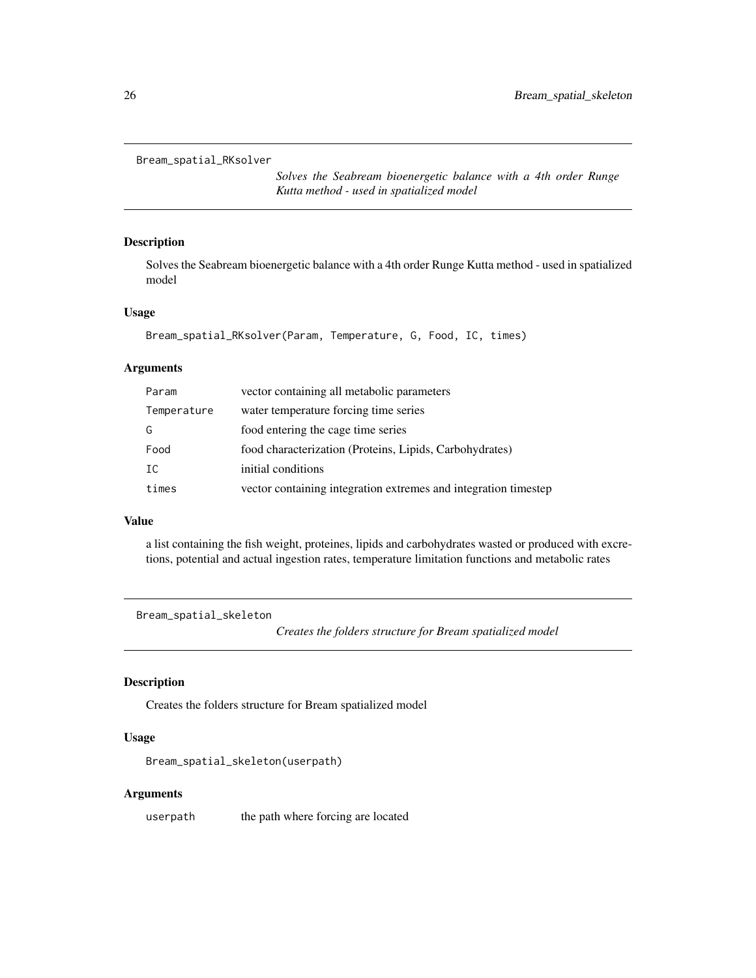```
Bream_spatial_RKsolver
```
*Solves the Seabream bioenergetic balance with a 4th order Runge Kutta method - used in spatialized model*

#### Description

Solves the Seabream bioenergetic balance with a 4th order Runge Kutta method - used in spatialized model

#### Usage

```
Bream_spatial_RKsolver(Param, Temperature, G, Food, IC, times)
```
#### Arguments

| Param       | vector containing all metabolic parameters                      |
|-------------|-----------------------------------------------------------------|
| Temperature | water temperature forcing time series                           |
| G           | food entering the cage time series                              |
| Food        | food characterization (Proteins, Lipids, Carbohydrates)         |
| IC          | initial conditions                                              |
| times       | vector containing integration extremes and integration timestep |

#### Value

a list containing the fish weight, proteines, lipids and carbohydrates wasted or produced with excretions, potential and actual ingestion rates, temperature limitation functions and metabolic rates

Bream\_spatial\_skeleton

*Creates the folders structure for Bream spatialized model*

# Description

Creates the folders structure for Bream spatialized model

# Usage

```
Bream_spatial_skeleton(userpath)
```
# Arguments

userpath the path where forcing are located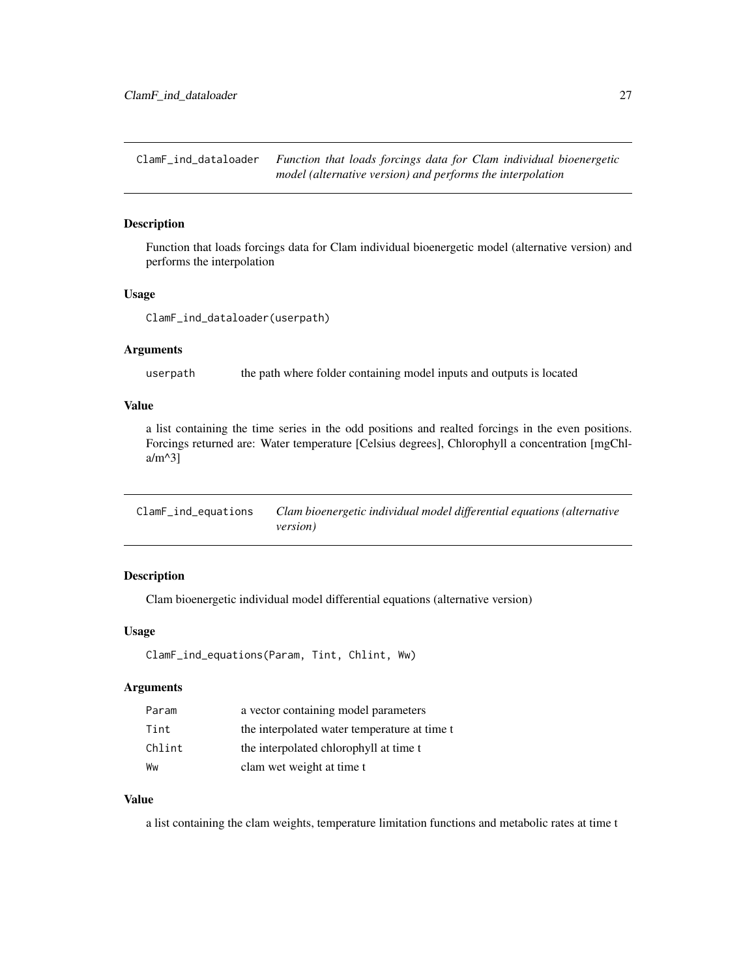<span id="page-26-0"></span>ClamF\_ind\_dataloader *Function that loads forcings data for Clam individual bioenergetic model (alternative version) and performs the interpolation*

# Description

Function that loads forcings data for Clam individual bioenergetic model (alternative version) and performs the interpolation

#### Usage

ClamF\_ind\_dataloader(userpath)

#### Arguments

userpath the path where folder containing model inputs and outputs is located

# Value

a list containing the time series in the odd positions and realted forcings in the even positions. Forcings returned are: Water temperature [Celsius degrees], Chlorophyll a concentration [mgChla/m^3]

ClamF\_ind\_equations *Clam bioenergetic individual model differential equations (alternative version)*

# Description

Clam bioenergetic individual model differential equations (alternative version)

# Usage

ClamF\_ind\_equations(Param, Tint, Chlint, Ww)

# Arguments

| Param  | a vector containing model parameters         |
|--------|----------------------------------------------|
| Tint   | the interpolated water temperature at time t |
| Chlint | the interpolated chlorophyll at time t       |
| Ww     | clam wet weight at time t                    |

#### Value

a list containing the clam weights, temperature limitation functions and metabolic rates at time t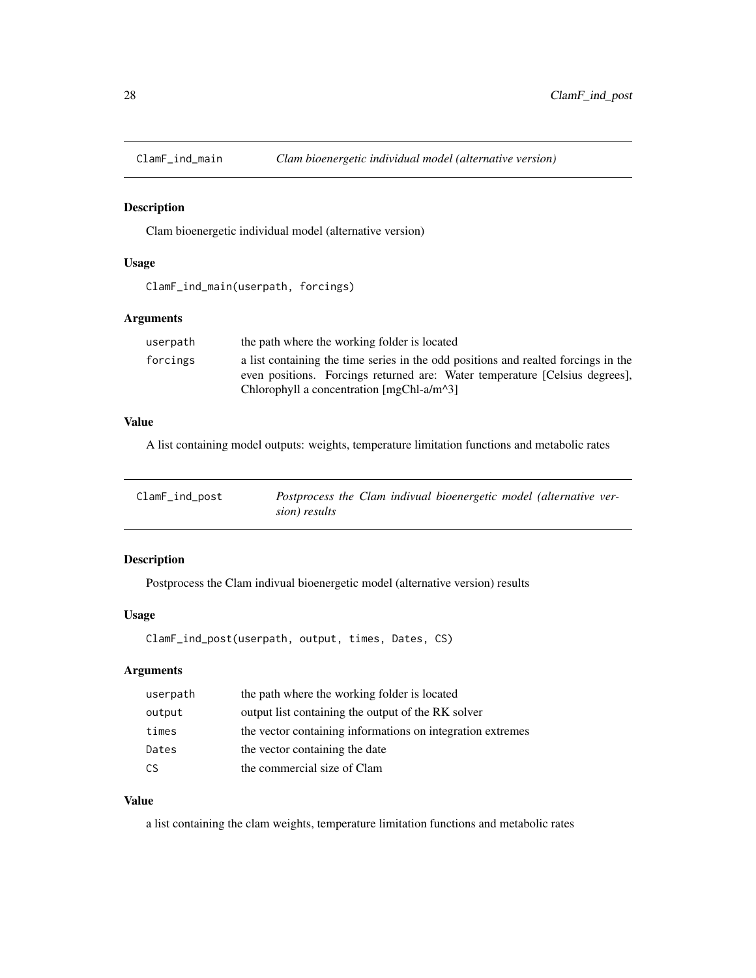<span id="page-27-0"></span>

#### Description

Clam bioenergetic individual model (alternative version)

#### Usage

ClamF\_ind\_main(userpath, forcings)

# Arguments

| userpath | the path where the working folder is located                                                                                                                      |
|----------|-------------------------------------------------------------------------------------------------------------------------------------------------------------------|
| forcings | a list containing the time series in the odd positions and realted forcings in the<br>even positions. Forcings returned are: Water temperature [Celsius degrees], |
|          | Chlorophyll a concentration $[mgChI-a/m^3]$                                                                                                                       |

# Value

A list containing model outputs: weights, temperature limitation functions and metabolic rates

| ClamF_ind_post | Postprocess the Clam indivual bioenergetic model (alternative ver- |  |
|----------------|--------------------------------------------------------------------|--|
|                | sion) results                                                      |  |

# Description

Postprocess the Clam indivual bioenergetic model (alternative version) results

#### Usage

ClamF\_ind\_post(userpath, output, times, Dates, CS)

# Arguments

| userpath | the path where the working folder is located               |
|----------|------------------------------------------------------------|
| output   | output list containing the output of the RK solver         |
| times    | the vector containing informations on integration extremes |
| Dates    | the vector containing the date                             |
| CS.      | the commercial size of Clam                                |

# Value

a list containing the clam weights, temperature limitation functions and metabolic rates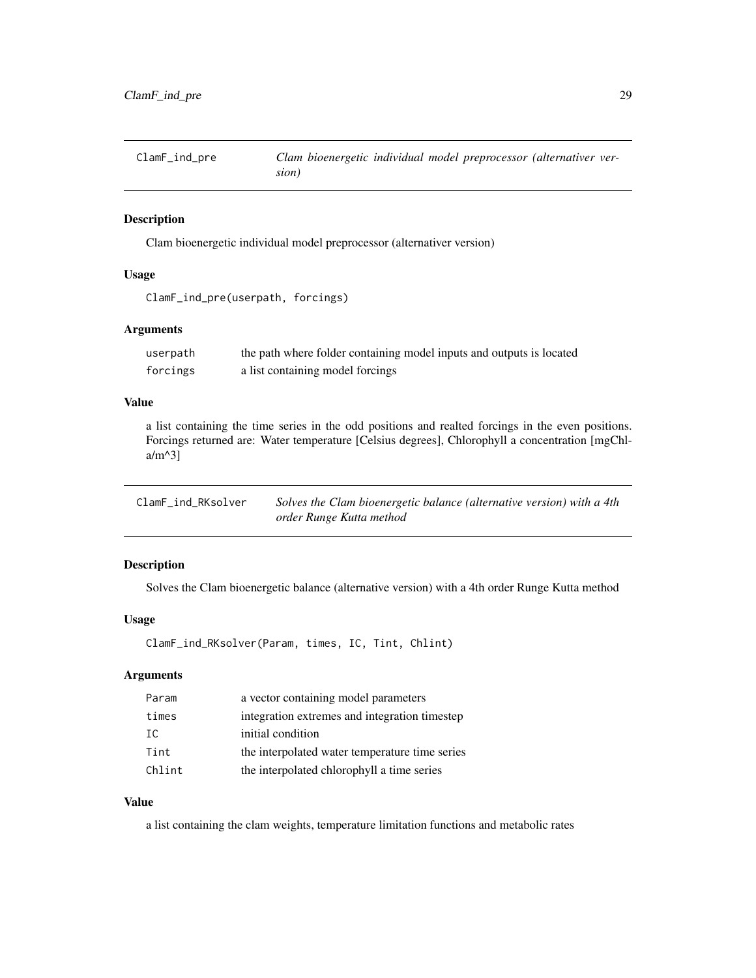<span id="page-28-0"></span>ClamF\_ind\_pre *Clam bioenergetic individual model preprocessor (alternativer version)*

# Description

Clam bioenergetic individual model preprocessor (alternativer version)

# Usage

```
ClamF_ind_pre(userpath, forcings)
```
#### Arguments

| userpath | the path where folder containing model inputs and outputs is located |
|----------|----------------------------------------------------------------------|
| forcings | a list containing model forcings                                     |

# Value

a list containing the time series in the odd positions and realted forcings in the even positions. Forcings returned are: Water temperature [Celsius degrees], Chlorophyll a concentration [mgChla/m^3]

| ClamF_ind_RKsolver | Solves the Clam bioenergetic balance (alternative version) with a 4th |
|--------------------|-----------------------------------------------------------------------|
|                    | order Runge Kutta method                                              |

# Description

Solves the Clam bioenergetic balance (alternative version) with a 4th order Runge Kutta method

#### Usage

ClamF\_ind\_RKsolver(Param, times, IC, Tint, Chlint)

# Arguments

| Param  | a vector containing model parameters           |
|--------|------------------------------------------------|
| times  | integration extremes and integration timestep  |
| IC.    | initial condition                              |
| Tint   | the interpolated water temperature time series |
| Chlint | the interpolated chlorophyll a time series     |

# Value

a list containing the clam weights, temperature limitation functions and metabolic rates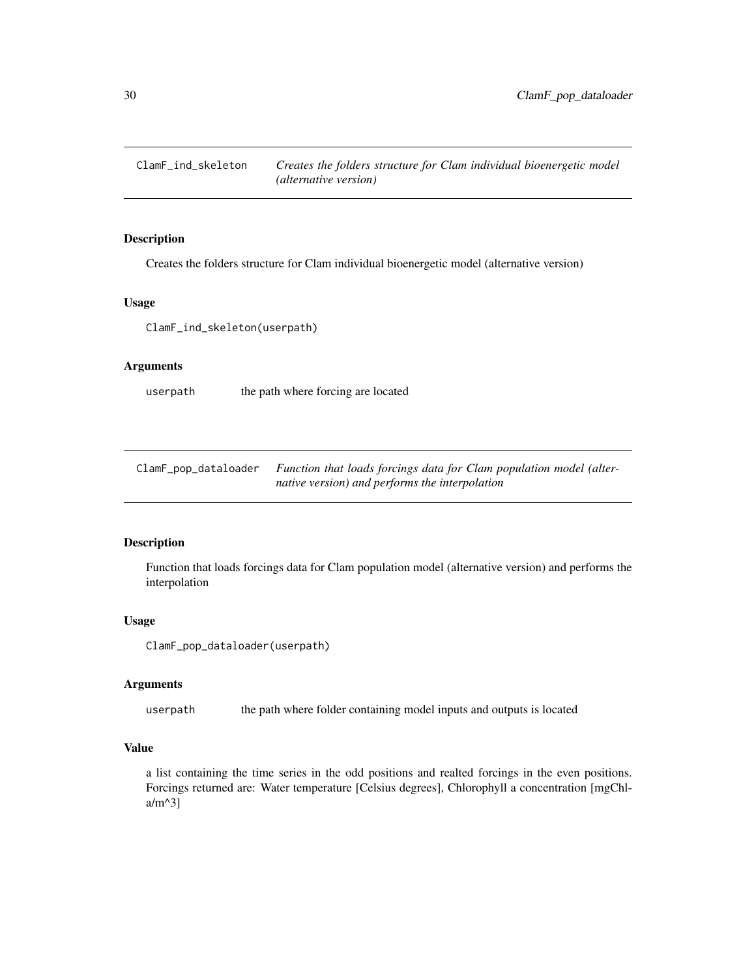<span id="page-29-0"></span>

# Description

Creates the folders structure for Clam individual bioenergetic model (alternative version)

# Usage

ClamF\_ind\_skeleton(userpath)

#### Arguments

userpath the path where forcing are located

ClamF\_pop\_dataloader *Function that loads forcings data for Clam population model (alternative version) and performs the interpolation*

# Description

Function that loads forcings data for Clam population model (alternative version) and performs the interpolation

#### Usage

ClamF\_pop\_dataloader(userpath)

#### Arguments

userpath the path where folder containing model inputs and outputs is located

# Value

a list containing the time series in the odd positions and realted forcings in the even positions. Forcings returned are: Water temperature [Celsius degrees], Chlorophyll a concentration [mgChla/m^3]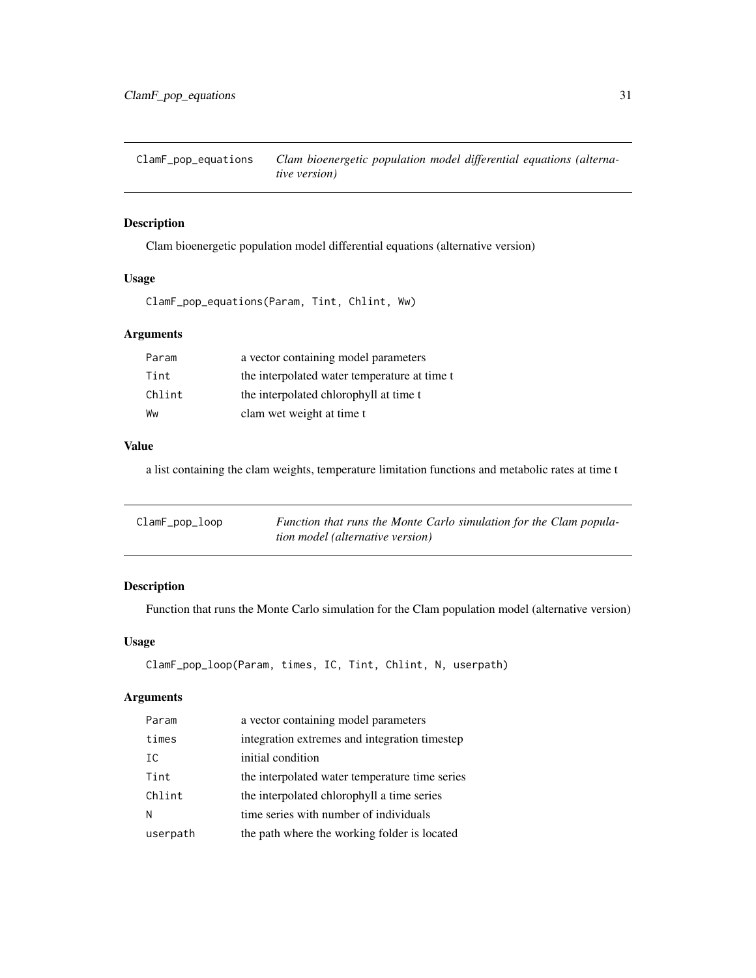<span id="page-30-0"></span>ClamF\_pop\_equations *Clam bioenergetic population model differential equations (alternative version)*

# Description

Clam bioenergetic population model differential equations (alternative version)

# Usage

```
ClamF_pop_equations(Param, Tint, Chlint, Ww)
```
# Arguments

| Param  | a vector containing model parameters         |
|--------|----------------------------------------------|
| Tint   | the interpolated water temperature at time t |
| Chlint | the interpolated chlorophyll at time t       |
| Ww     | clam wet weight at time t                    |

#### Value

a list containing the clam weights, temperature limitation functions and metabolic rates at time t

| ClamF_pop_loop | Function that runs the Monte Carlo simulation for the Clam popula- |
|----------------|--------------------------------------------------------------------|
|                | tion model (alternative version)                                   |

# Description

Function that runs the Monte Carlo simulation for the Clam population model (alternative version)

#### Usage

```
ClamF_pop_loop(Param, times, IC, Tint, Chlint, N, userpath)
```

| Param    | a vector containing model parameters           |
|----------|------------------------------------------------|
| times    | integration extremes and integration timestep  |
| IC       | initial condition                              |
| Tint     | the interpolated water temperature time series |
| Chlint   | the interpolated chlorophyll a time series     |
| N        | time series with number of individuals         |
| userpath | the path where the working folder is located   |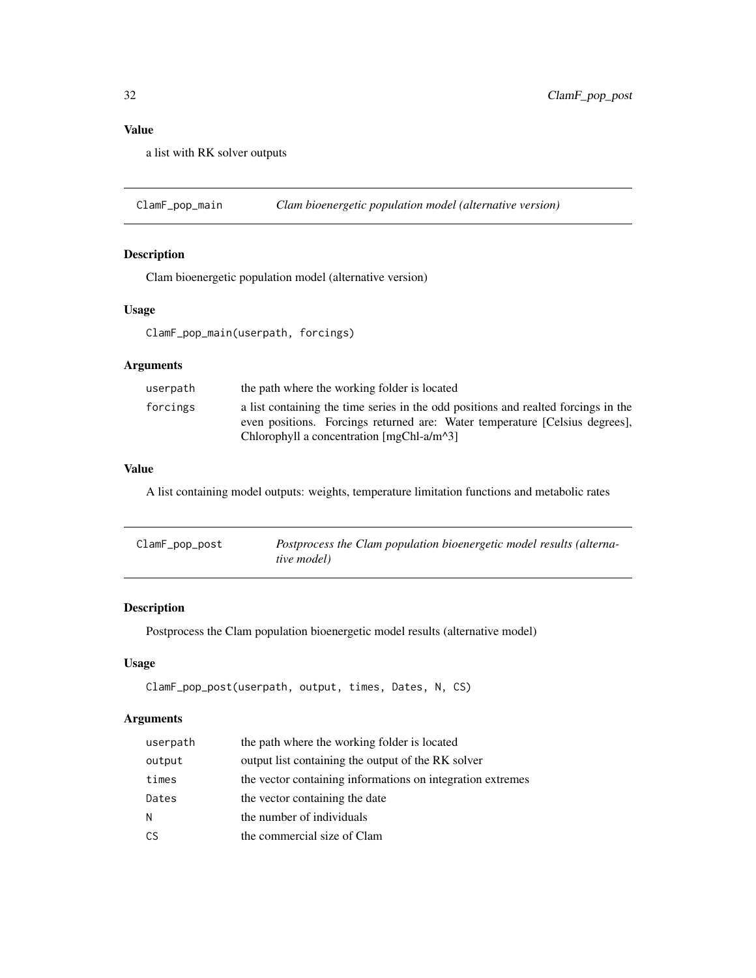<span id="page-31-0"></span>a list with RK solver outputs

ClamF\_pop\_main *Clam bioenergetic population model (alternative version)*

# Description

Clam bioenergetic population model (alternative version)

#### Usage

ClamF\_pop\_main(userpath, forcings)

# Arguments

| userpath | the path where the working folder is located                                                                                                                                                                     |
|----------|------------------------------------------------------------------------------------------------------------------------------------------------------------------------------------------------------------------|
| forcings | a list containing the time series in the odd positions and realted forcings in the<br>even positions. Forcings returned are: Water temperature [Celsius degrees],<br>Chlorophyll a concentration $[mgChI-a/m^3]$ |

# Value

A list containing model outputs: weights, temperature limitation functions and metabolic rates

| ClamF_pop_post | Postprocess the Clam population bioenergetic model results (alterna- |
|----------------|----------------------------------------------------------------------|
|                | <i>tive model</i> )                                                  |

# Description

Postprocess the Clam population bioenergetic model results (alternative model)

# Usage

```
ClamF_pop_post(userpath, output, times, Dates, N, CS)
```

| userpath | the path where the working folder is located               |
|----------|------------------------------------------------------------|
| output   | output list containing the output of the RK solver         |
| times    | the vector containing informations on integration extremes |
| Dates    | the vector containing the date                             |
| N        | the number of individuals                                  |
| CS       | the commercial size of Clam                                |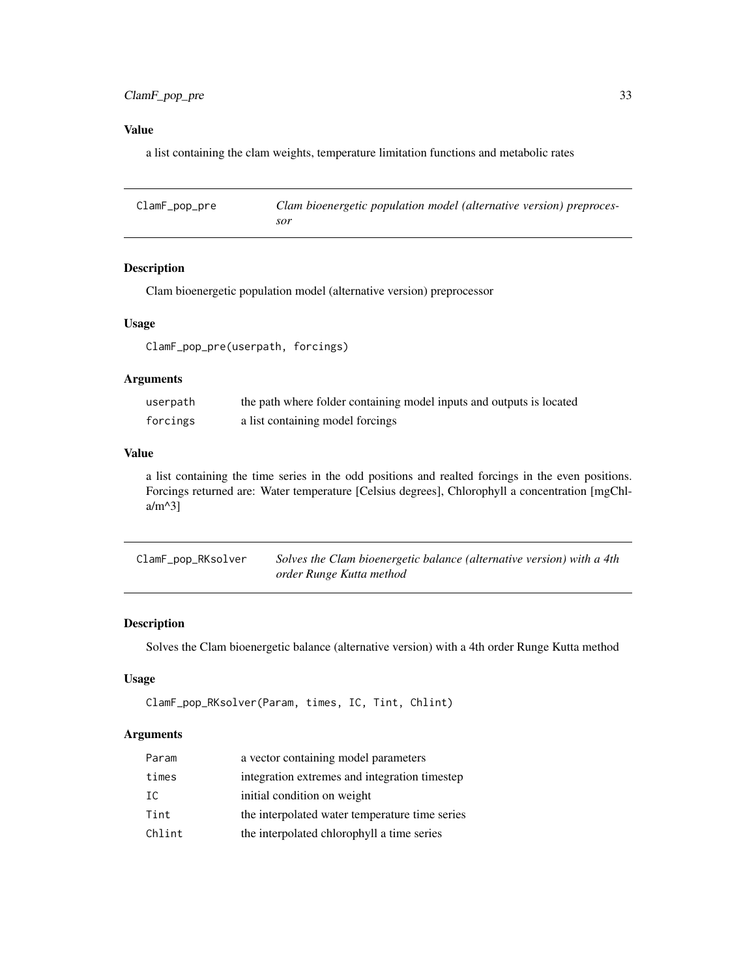# <span id="page-32-0"></span>ClamF\_pop\_pre 33

# Value

a list containing the clam weights, temperature limitation functions and metabolic rates

| ClamF_pop_pre | Clam bioenergetic population model (alternative version) preproces- |
|---------------|---------------------------------------------------------------------|
|               | sor                                                                 |

# Description

Clam bioenergetic population model (alternative version) preprocessor

# Usage

ClamF\_pop\_pre(userpath, forcings)

# Arguments

| userpath | the path where folder containing model inputs and outputs is located |
|----------|----------------------------------------------------------------------|
| forcings | a list containing model forcings                                     |

# Value

a list containing the time series in the odd positions and realted forcings in the even positions. Forcings returned are: Water temperature [Celsius degrees], Chlorophyll a concentration [mgChla/m^3]

| ClamF_pop_RKsolver | Solves the Clam bioenergetic balance (alternative version) with a 4th |
|--------------------|-----------------------------------------------------------------------|
|                    | order Runge Kutta method                                              |

# Description

Solves the Clam bioenergetic balance (alternative version) with a 4th order Runge Kutta method

# Usage

```
ClamF_pop_RKsolver(Param, times, IC, Tint, Chlint)
```

| Param  | a vector containing model parameters           |
|--------|------------------------------------------------|
| times  | integration extremes and integration timestep  |
| IC     | initial condition on weight                    |
| Tint   | the interpolated water temperature time series |
| Chlint | the interpolated chlorophyll a time series     |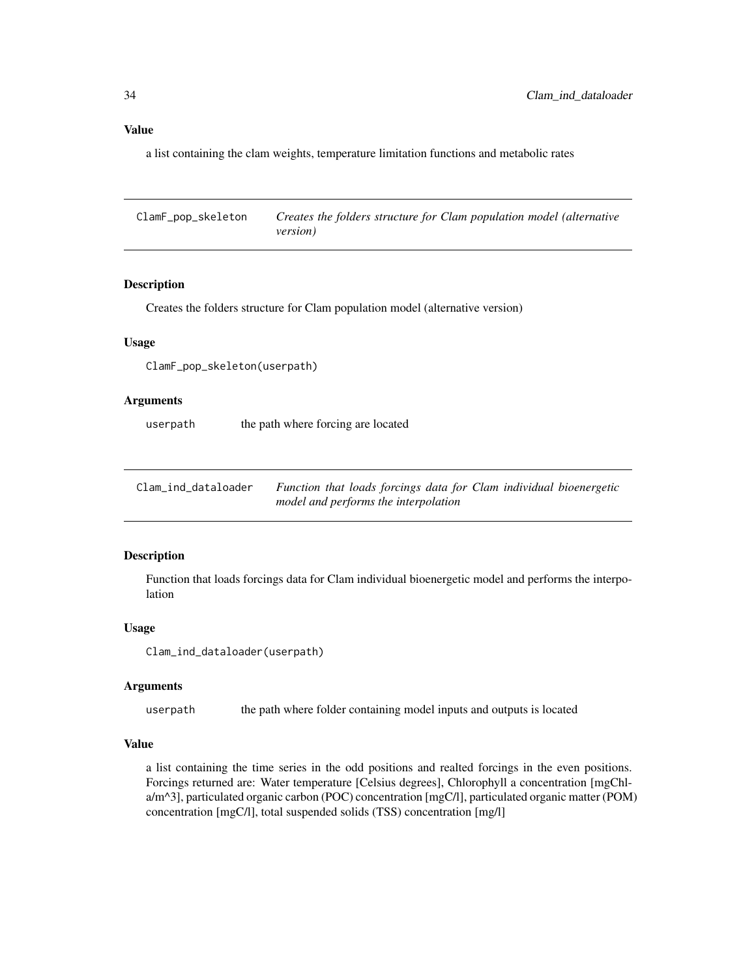<span id="page-33-0"></span>a list containing the clam weights, temperature limitation functions and metabolic rates

ClamF\_pop\_skeleton *Creates the folders structure for Clam population model (alternative version)*

#### **Description**

Creates the folders structure for Clam population model (alternative version)

#### Usage

ClamF\_pop\_skeleton(userpath)

#### Arguments

userpath the path where forcing are located

Clam\_ind\_dataloader *Function that loads forcings data for Clam individual bioenergetic model and performs the interpolation*

#### Description

Function that loads forcings data for Clam individual bioenergetic model and performs the interpolation

#### Usage

```
Clam_ind_dataloader(userpath)
```
#### Arguments

userpath the path where folder containing model inputs and outputs is located

# Value

a list containing the time series in the odd positions and realted forcings in the even positions. Forcings returned are: Water temperature [Celsius degrees], Chlorophyll a concentration [mgChla/m^3], particulated organic carbon (POC) concentration [mgC/l], particulated organic matter (POM) concentration [mgC/l], total suspended solids (TSS) concentration [mg/l]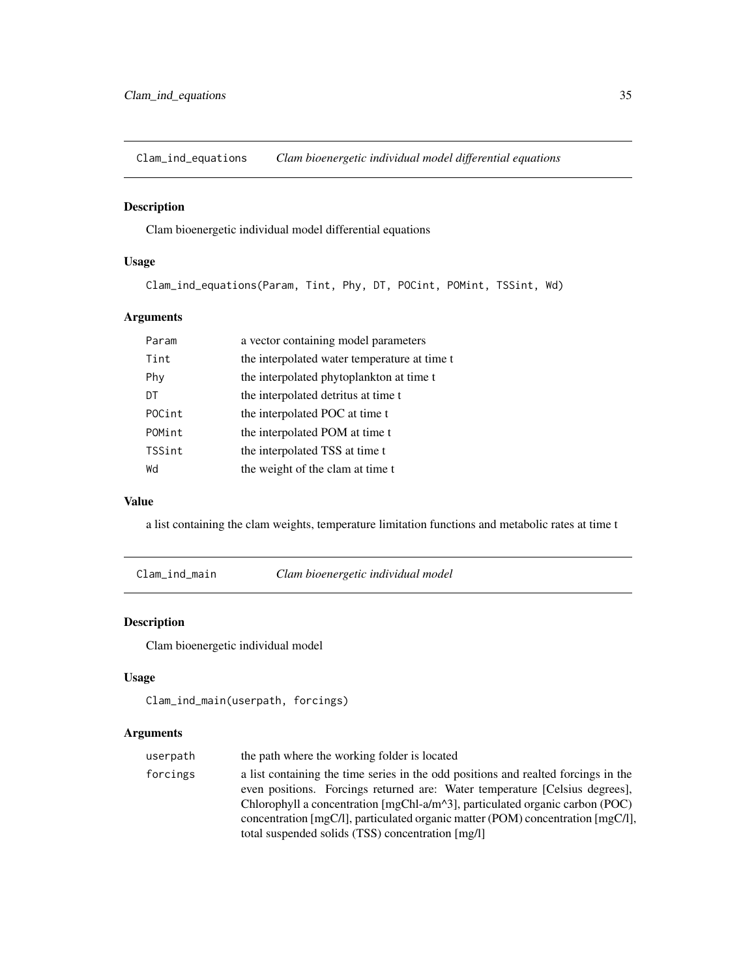<span id="page-34-0"></span>Clam\_ind\_equations *Clam bioenergetic individual model differential equations*

# Description

Clam bioenergetic individual model differential equations

# Usage

Clam\_ind\_equations(Param, Tint, Phy, DT, POCint, POMint, TSSint, Wd)

# Arguments

| Param  | a vector containing model parameters         |
|--------|----------------------------------------------|
| Tint   | the interpolated water temperature at time t |
| Phy    | the interpolated phytoplankton at time t     |
| DT     | the interpolated detritus at time t          |
| POCint | the interpolated POC at time t               |
| POMint | the interpolated POM at time t               |
| TSSint | the interpolated TSS at time t               |
| Wd     | the weight of the clam at time t             |

#### Value

a list containing the clam weights, temperature limitation functions and metabolic rates at time t

Clam\_ind\_main *Clam bioenergetic individual model*

# Description

Clam bioenergetic individual model

#### Usage

```
Clam_ind_main(userpath, forcings)
```

| the path where the working folder is located                                                               |
|------------------------------------------------------------------------------------------------------------|
| a list containing the time series in the odd positions and realted forcings in the                         |
| even positions. Forcings returned are: Water temperature [Celsius degrees],                                |
| Chlorophyll a concentration [mgChl-a/m <sup><math>\land</math>3]</sup> , particulated organic carbon (POC) |
| concentration [mgC/l], particulated organic matter (POM) concentration [mgC/l],                            |
| total suspended solids (TSS) concentration [mg/l]                                                          |
|                                                                                                            |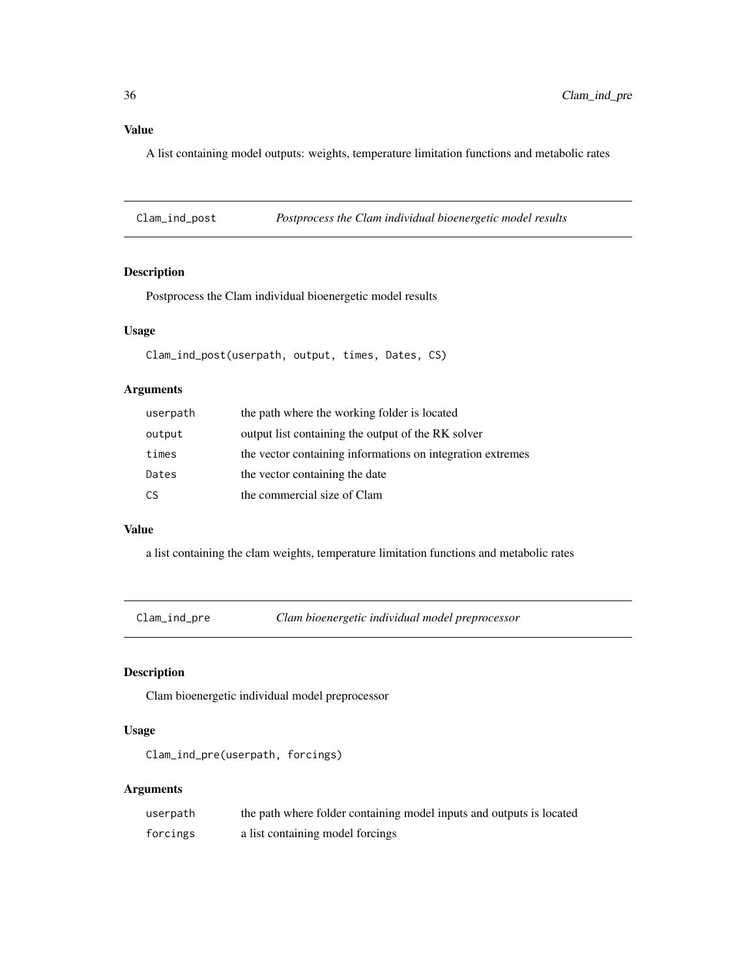<span id="page-35-0"></span>A list containing model outputs: weights, temperature limitation functions and metabolic rates

Clam\_ind\_post *Postprocess the Clam individual bioenergetic model results*

# Description

Postprocess the Clam individual bioenergetic model results

#### Usage

Clam\_ind\_post(userpath, output, times, Dates, CS)

# Arguments

| userpath | the path where the working folder is located               |
|----------|------------------------------------------------------------|
| output   | output list containing the output of the RK solver         |
| times    | the vector containing informations on integration extremes |
| Dates    | the vector containing the date                             |
| CS       | the commercial size of Clam                                |

# Value

a list containing the clam weights, temperature limitation functions and metabolic rates

Clam\_ind\_pre *Clam bioenergetic individual model preprocessor*

# Description

Clam bioenergetic individual model preprocessor

#### Usage

```
Clam_ind_pre(userpath, forcings)
```

| userpath | the path where folder containing model inputs and outputs is located |
|----------|----------------------------------------------------------------------|
| forcings | a list containing model forcings                                     |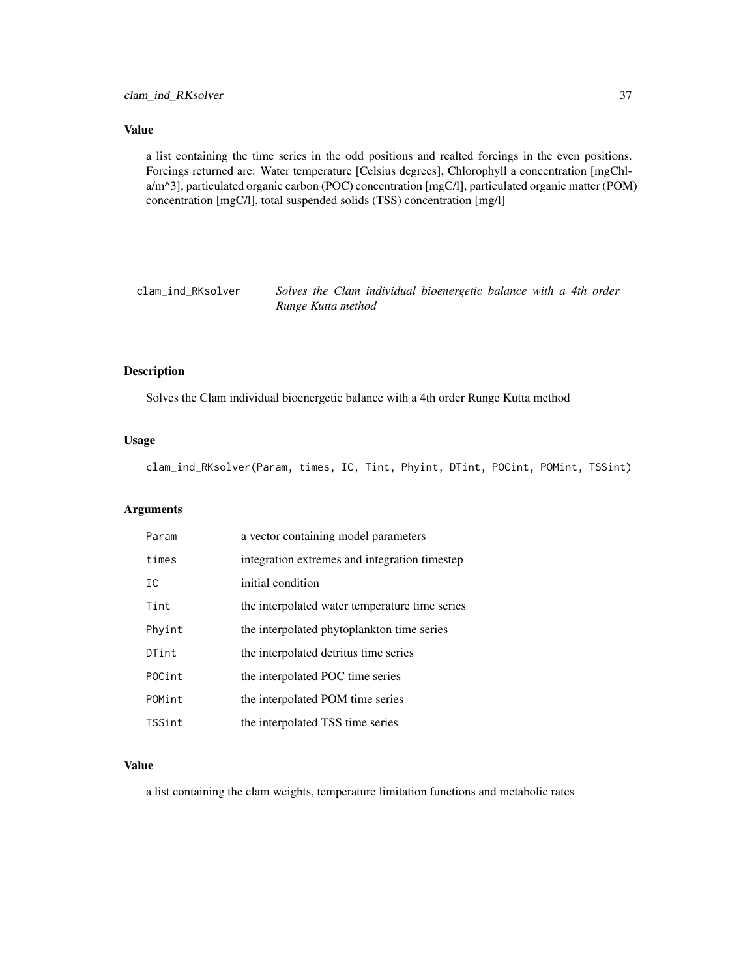<span id="page-36-0"></span>a list containing the time series in the odd positions and realted forcings in the even positions. Forcings returned are: Water temperature [Celsius degrees], Chlorophyll a concentration [mgChla/m^3], particulated organic carbon (POC) concentration [mgC/l], particulated organic matter (POM) concentration [mgC/l], total suspended solids (TSS) concentration [mg/l]

clam\_ind\_RKsolver *Solves the Clam individual bioenergetic balance with a 4th order Runge Kutta method*

#### Description

Solves the Clam individual bioenergetic balance with a 4th order Runge Kutta method

# Usage

clam\_ind\_RKsolver(Param, times, IC, Tint, Phyint, DTint, POCint, POMint, TSSint)

# Arguments

| Param  | a vector containing model parameters           |
|--------|------------------------------------------------|
| times  | integration extremes and integration timestep  |
| IC     | initial condition                              |
| Tint   | the interpolated water temperature time series |
| Phyint | the interpolated phytoplankton time series     |
| DTint  | the interpolated detritus time series          |
| POCint | the interpolated POC time series               |
| POMint | the interpolated POM time series               |
| TSSint | the interpolated TSS time series               |

#### Value

a list containing the clam weights, temperature limitation functions and metabolic rates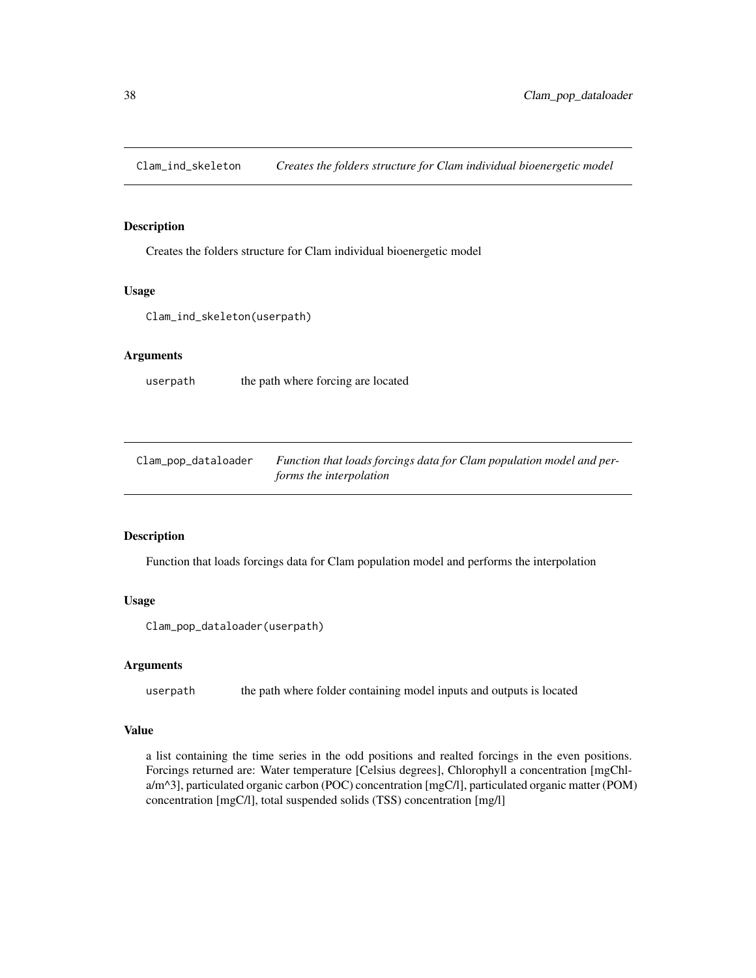<span id="page-37-0"></span>Clam\_ind\_skeleton *Creates the folders structure for Clam individual bioenergetic model*

# Description

Creates the folders structure for Clam individual bioenergetic model

# Usage

```
Clam_ind_skeleton(userpath)
```
# Arguments

userpath the path where forcing are located

| Clam_pop_dataloader | Function that loads forcings data for Clam population model and per- |
|---------------------|----------------------------------------------------------------------|
|                     | forms the interpolation                                              |

# Description

Function that loads forcings data for Clam population model and performs the interpolation

#### Usage

```
Clam_pop_dataloader(userpath)
```
# Arguments

userpath the path where folder containing model inputs and outputs is located

#### Value

a list containing the time series in the odd positions and realted forcings in the even positions. Forcings returned are: Water temperature [Celsius degrees], Chlorophyll a concentration [mgChla/m^3], particulated organic carbon (POC) concentration [mgC/l], particulated organic matter (POM) concentration [mgC/l], total suspended solids (TSS) concentration [mg/l]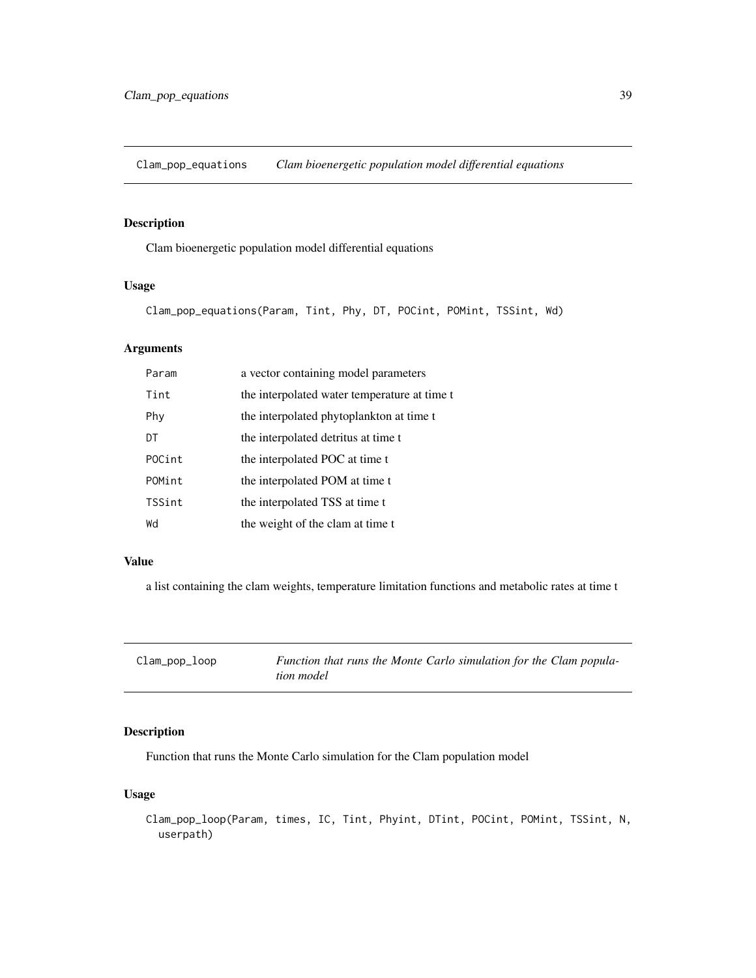<span id="page-38-0"></span>Clam\_pop\_equations *Clam bioenergetic population model differential equations*

# Description

Clam bioenergetic population model differential equations

# Usage

Clam\_pop\_equations(Param, Tint, Phy, DT, POCint, POMint, TSSint, Wd)

# Arguments

| Param  | a vector containing model parameters         |
|--------|----------------------------------------------|
| Tint   | the interpolated water temperature at time t |
| Phy    | the interpolated phytoplankton at time t     |
| DT     | the interpolated detritus at time t          |
| POCint | the interpolated POC at time t               |
| POMint | the interpolated POM at time t               |
| TSSint | the interpolated TSS at time t               |
| Wd     | the weight of the clam at time t             |

#### Value

a list containing the clam weights, temperature limitation functions and metabolic rates at time t

| Clam_pop_loop | Function that runs the Monte Carlo simulation for the Clam popula- |
|---------------|--------------------------------------------------------------------|
|               | tion model                                                         |

# Description

Function that runs the Monte Carlo simulation for the Clam population model

# Usage

Clam\_pop\_loop(Param, times, IC, Tint, Phyint, DTint, POCint, POMint, TSSint, N, userpath)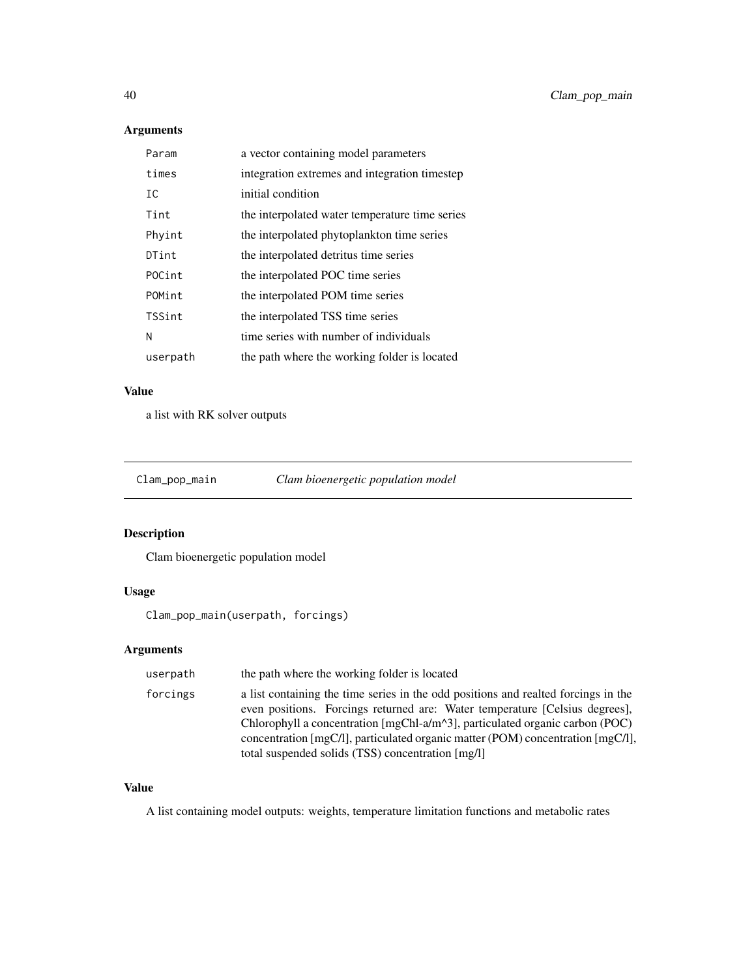# Arguments

| Param    | a vector containing model parameters           |
|----------|------------------------------------------------|
| times    | integration extremes and integration timestep  |
| IC       | initial condition                              |
| Tint     | the interpolated water temperature time series |
| Phyint   | the interpolated phytoplankton time series     |
| DTint    | the interpolated detritus time series          |
| POCint   | the interpolated POC time series               |
| POMint   | the interpolated POM time series               |
| TSSint   | the interpolated TSS time series               |
| N        | time series with number of individuals         |
| userpath | the path where the working folder is located   |

# Value

a list with RK solver outputs

Clam\_pop\_main *Clam bioenergetic population model*

# Description

Clam bioenergetic population model

# Usage

Clam\_pop\_main(userpath, forcings)

# Arguments

| userpath | the path where the working folder is located                                                                                                                                                                                                                                                                                                                                                                   |
|----------|----------------------------------------------------------------------------------------------------------------------------------------------------------------------------------------------------------------------------------------------------------------------------------------------------------------------------------------------------------------------------------------------------------------|
| forcings | a list containing the time series in the odd positions and realted forcings in the<br>even positions. Forcings returned are: Water temperature [Celsius degrees],<br>Chlorophyll a concentration $[mgChI-a/m^3]$ , particulated organic carbon (POC)<br>concentration $\text{ImgCl1}$ , particulated organic matter (POM) concentration $\text{ImgCl1}$ ,<br>total suspended solids (TSS) concentration [mg/l] |

# Value

A list containing model outputs: weights, temperature limitation functions and metabolic rates

<span id="page-39-0"></span>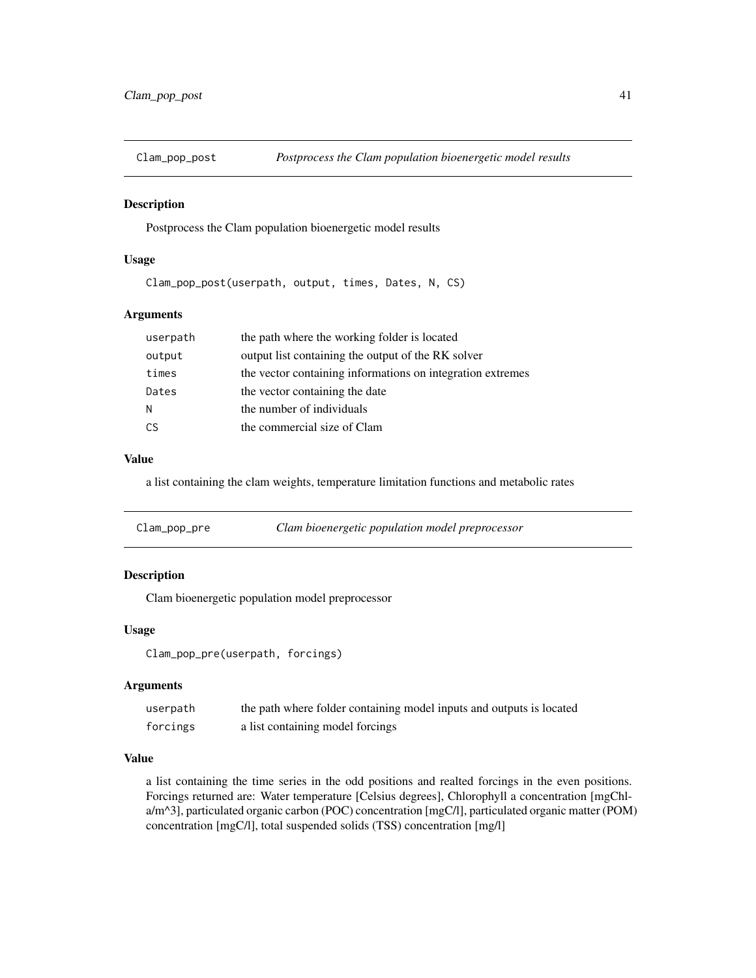<span id="page-40-0"></span>

# Description

Postprocess the Clam population bioenergetic model results

# Usage

Clam\_pop\_post(userpath, output, times, Dates, N, CS)

#### Arguments

| userpath | the path where the working folder is located               |
|----------|------------------------------------------------------------|
| output   | output list containing the output of the RK solver         |
| times    | the vector containing informations on integration extremes |
| Dates    | the vector containing the date                             |
| N        | the number of individuals                                  |
| CS       | the commercial size of Clam                                |

#### Value

a list containing the clam weights, temperature limitation functions and metabolic rates

# Description

Clam bioenergetic population model preprocessor

# Usage

Clam\_pop\_pre(userpath, forcings)

# Arguments

| userpath | the path where folder containing model inputs and outputs is located |
|----------|----------------------------------------------------------------------|
| forcings | a list containing model forcings                                     |

# Value

a list containing the time series in the odd positions and realted forcings in the even positions. Forcings returned are: Water temperature [Celsius degrees], Chlorophyll a concentration [mgChla/m^3], particulated organic carbon (POC) concentration [mgC/l], particulated organic matter (POM) concentration [mgC/l], total suspended solids (TSS) concentration [mg/l]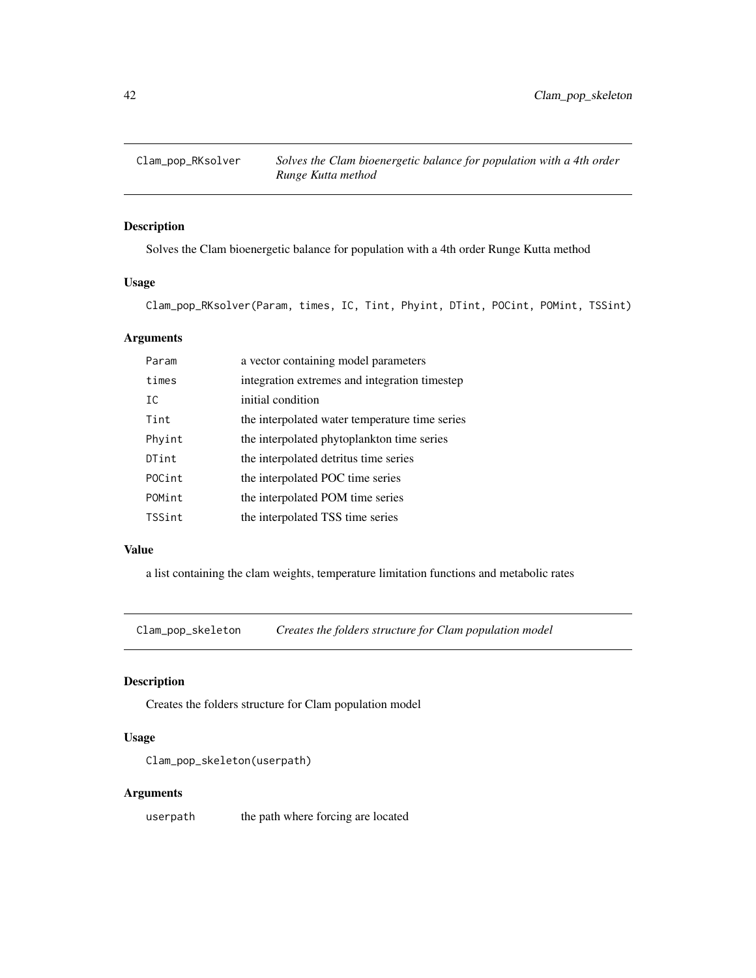<span id="page-41-0"></span>

# Description

Solves the Clam bioenergetic balance for population with a 4th order Runge Kutta method

# Usage

Clam\_pop\_RKsolver(Param, times, IC, Tint, Phyint, DTint, POCint, POMint, TSSint)

#### Arguments

| Param  | a vector containing model parameters           |
|--------|------------------------------------------------|
| times  | integration extremes and integration timestep  |
| IC     | initial condition                              |
| Tint   | the interpolated water temperature time series |
| Phyint | the interpolated phytoplankton time series     |
| DTint  | the interpolated detritus time series          |
| POCint | the interpolated POC time series               |
| POMint | the interpolated POM time series               |
| TSSint | the interpolated TSS time series               |
|        |                                                |

# Value

a list containing the clam weights, temperature limitation functions and metabolic rates

Clam\_pop\_skeleton *Creates the folders structure for Clam population model*

# Description

Creates the folders structure for Clam population model

# Usage

Clam\_pop\_skeleton(userpath)

# Arguments

userpath the path where forcing are located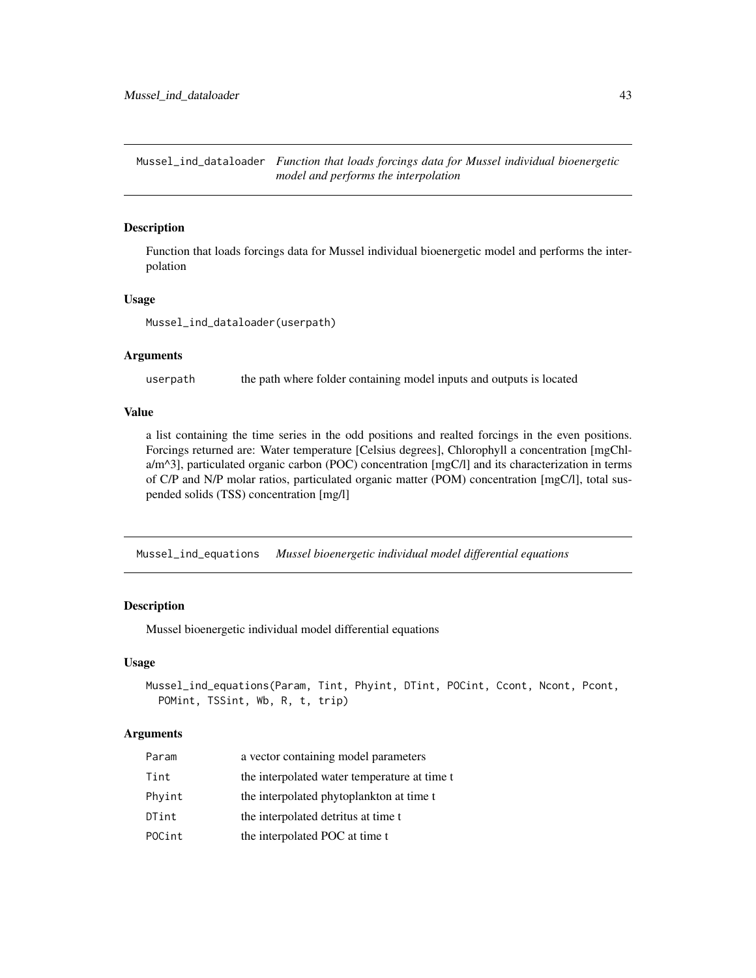<span id="page-42-0"></span>Mussel\_ind\_dataloader *Function that loads forcings data for Mussel individual bioenergetic model and performs the interpolation*

#### Description

Function that loads forcings data for Mussel individual bioenergetic model and performs the interpolation

#### Usage

Mussel\_ind\_dataloader(userpath)

#### Arguments

userpath the path where folder containing model inputs and outputs is located

#### Value

a list containing the time series in the odd positions and realted forcings in the even positions. Forcings returned are: Water temperature [Celsius degrees], Chlorophyll a concentration [mgChla/m^3], particulated organic carbon (POC) concentration [mgC/l] and its characterization in terms of C/P and N/P molar ratios, particulated organic matter (POM) concentration [mgC/l], total suspended solids (TSS) concentration [mg/l]

Mussel\_ind\_equations *Mussel bioenergetic individual model differential equations*

#### Description

Mussel bioenergetic individual model differential equations

#### Usage

```
Mussel_ind_equations(Param, Tint, Phyint, DTint, POCint, Ccont, Ncont, Pcont,
 POMint, TSSint, Wb, R, t, trip)
```

| Param  | a vector containing model parameters         |
|--------|----------------------------------------------|
| Tint   | the interpolated water temperature at time t |
| Phyint | the interpolated phytoplankton at time t     |
| DTint  | the interpolated detritus at time t          |
| POCint | the interpolated POC at time t               |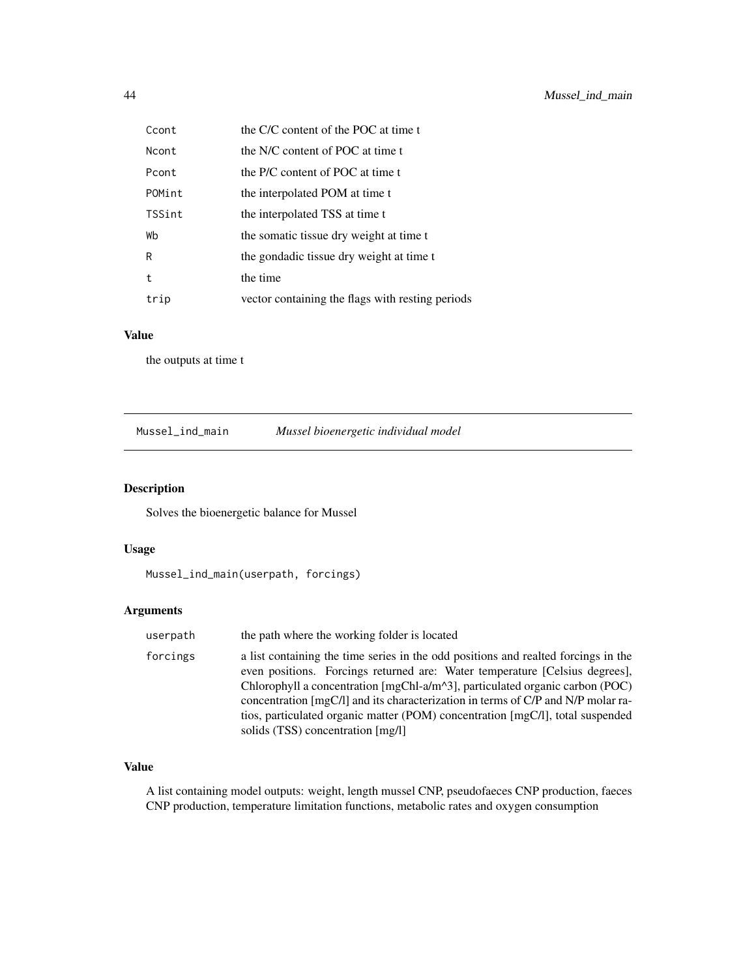<span id="page-43-0"></span>

| Ccont        | the C/C content of the POC at time t             |
|--------------|--------------------------------------------------|
| <b>Ncont</b> | the N/C content of POC at time t                 |
| Pcont        | the P/C content of POC at time t                 |
| POMint       | the interpolated POM at time t                   |
| TSSint       | the interpolated TSS at time t                   |
| Wb           | the somatic tissue dry weight at time t          |
| R            | the gondadic tissue dry weight at time t         |
| t            | the time                                         |
| trip         | vector containing the flags with resting periods |

the outputs at time t

# Description

Solves the bioenergetic balance for Mussel

# Usage

Mussel\_ind\_main(userpath, forcings)

# Arguments

| userpath | the path where the working folder is located                                                                                                                                                                                                                                                                                                                                                                                                                                     |
|----------|----------------------------------------------------------------------------------------------------------------------------------------------------------------------------------------------------------------------------------------------------------------------------------------------------------------------------------------------------------------------------------------------------------------------------------------------------------------------------------|
| forcings | a list containing the time series in the odd positions and realted forcings in the<br>even positions. Forcings returned are: Water temperature [Celsius degrees],<br>Chlorophyll a concentration $[\text{mgChI-a/m}^2, \text{particulated organic carbon (POC)}]$<br>concentration [mgC/l] and its characterization in terms of $C/P$ and $N/P$ molar ra-<br>tios, particulated organic matter (POM) concentration [mgC/l], total suspended<br>solids (TSS) concentration [mg/l] |

#### Value

A list containing model outputs: weight, length mussel CNP, pseudofaeces CNP production, faeces CNP production, temperature limitation functions, metabolic rates and oxygen consumption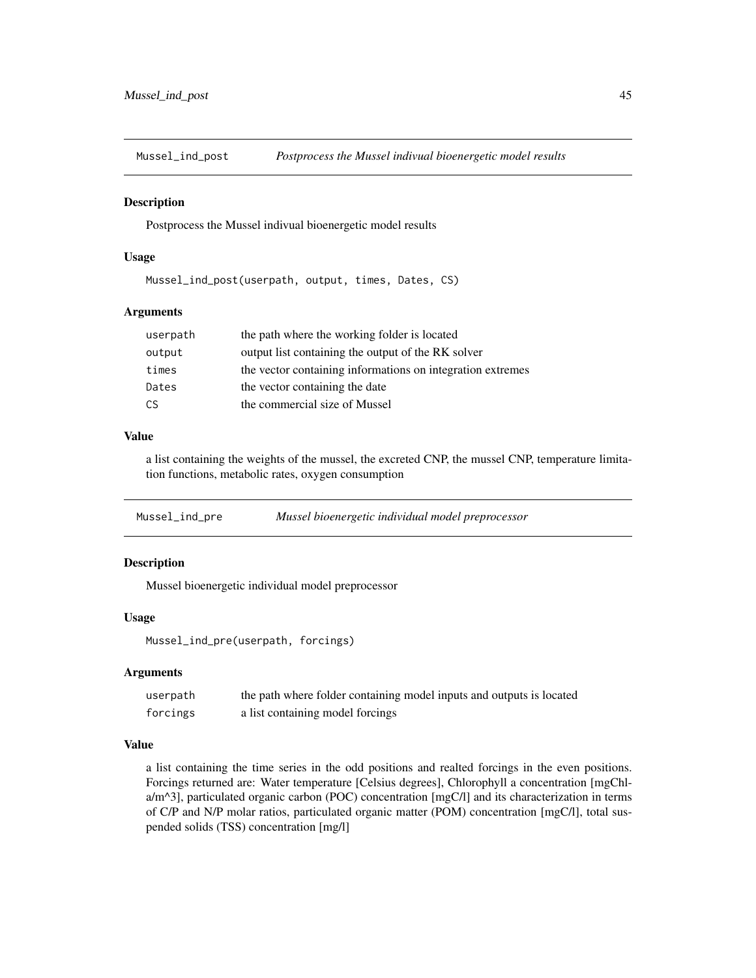<span id="page-44-0"></span>Mussel\_ind\_post *Postprocess the Mussel indivual bioenergetic model results*

#### Description

Postprocess the Mussel indivual bioenergetic model results

#### Usage

Mussel\_ind\_post(userpath, output, times, Dates, CS)

#### Arguments

| userpath | the path where the working folder is located               |
|----------|------------------------------------------------------------|
| output   | output list containing the output of the RK solver         |
| times    | the vector containing informations on integration extremes |
| Dates    | the vector containing the date                             |
| C.S      | the commercial size of Mussel                              |
|          |                                                            |

# Value

a list containing the weights of the mussel, the excreted CNP, the mussel CNP, temperature limitation functions, metabolic rates, oxygen consumption

Mussel\_ind\_pre *Mussel bioenergetic individual model preprocessor*

# Description

Mussel bioenergetic individual model preprocessor

# Usage

Mussel\_ind\_pre(userpath, forcings)

# Arguments

| userpath | the path where folder containing model inputs and outputs is located |
|----------|----------------------------------------------------------------------|
| forcings | a list containing model forcings                                     |

# Value

a list containing the time series in the odd positions and realted forcings in the even positions. Forcings returned are: Water temperature [Celsius degrees], Chlorophyll a concentration [mgChla/m^3], particulated organic carbon (POC) concentration [mgC/l] and its characterization in terms of C/P and N/P molar ratios, particulated organic matter (POM) concentration [mgC/l], total suspended solids (TSS) concentration [mg/l]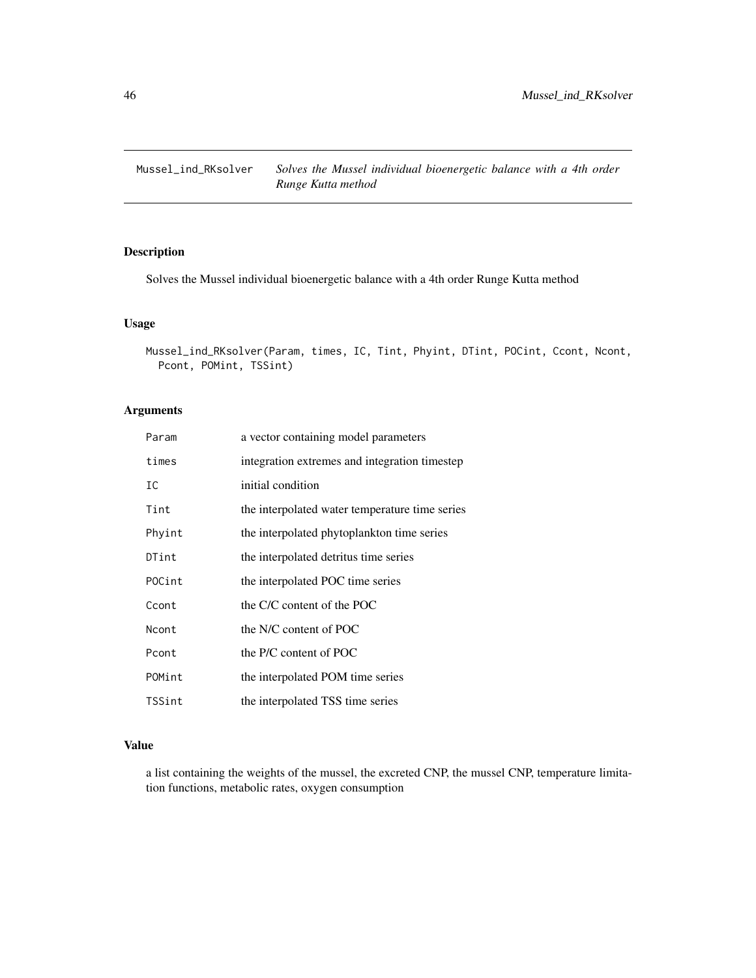<span id="page-45-0"></span>Mussel\_ind\_RKsolver *Solves the Mussel individual bioenergetic balance with a 4th order Runge Kutta method*

# Description

Solves the Mussel individual bioenergetic balance with a 4th order Runge Kutta method

# Usage

```
Mussel_ind_RKsolver(Param, times, IC, Tint, Phyint, DTint, POCint, Ccont, Ncont,
Pcont, POMint, TSSint)
```
# Arguments

| Param  | a vector containing model parameters           |
|--------|------------------------------------------------|
| times  | integration extremes and integration timestep  |
| IC     | initial condition                              |
| Tint   | the interpolated water temperature time series |
| Phyint | the interpolated phytoplankton time series     |
| DTint  | the interpolated detritus time series          |
| POCint | the interpolated POC time series               |
| Ccont  | the C/C content of the POC                     |
| Ncont  | the N/C content of POC                         |
| Pcont  | the P/C content of POC                         |
| POMint | the interpolated POM time series               |
| TSSint | the interpolated TSS time series               |

#### Value

a list containing the weights of the mussel, the excreted CNP, the mussel CNP, temperature limitation functions, metabolic rates, oxygen consumption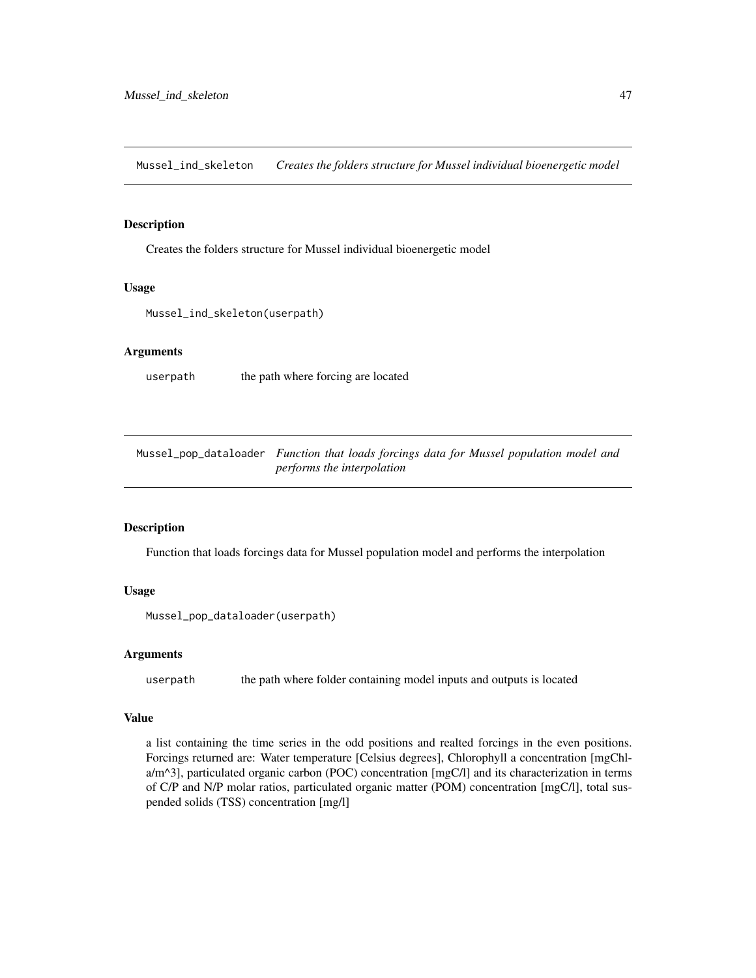<span id="page-46-0"></span>Mussel\_ind\_skeleton *Creates the folders structure for Mussel individual bioenergetic model*

#### Description

Creates the folders structure for Mussel individual bioenergetic model

#### Usage

```
Mussel_ind_skeleton(userpath)
```
# Arguments

userpath the path where forcing are located

Mussel\_pop\_dataloader *Function that loads forcings data for Mussel population model and performs the interpolation*

#### Description

Function that loads forcings data for Mussel population model and performs the interpolation

#### Usage

Mussel\_pop\_dataloader(userpath)

#### Arguments

userpath the path where folder containing model inputs and outputs is located

#### Value

a list containing the time series in the odd positions and realted forcings in the even positions. Forcings returned are: Water temperature [Celsius degrees], Chlorophyll a concentration [mgChla/m^3], particulated organic carbon (POC) concentration [mgC/l] and its characterization in terms of C/P and N/P molar ratios, particulated organic matter (POM) concentration [mgC/l], total suspended solids (TSS) concentration [mg/l]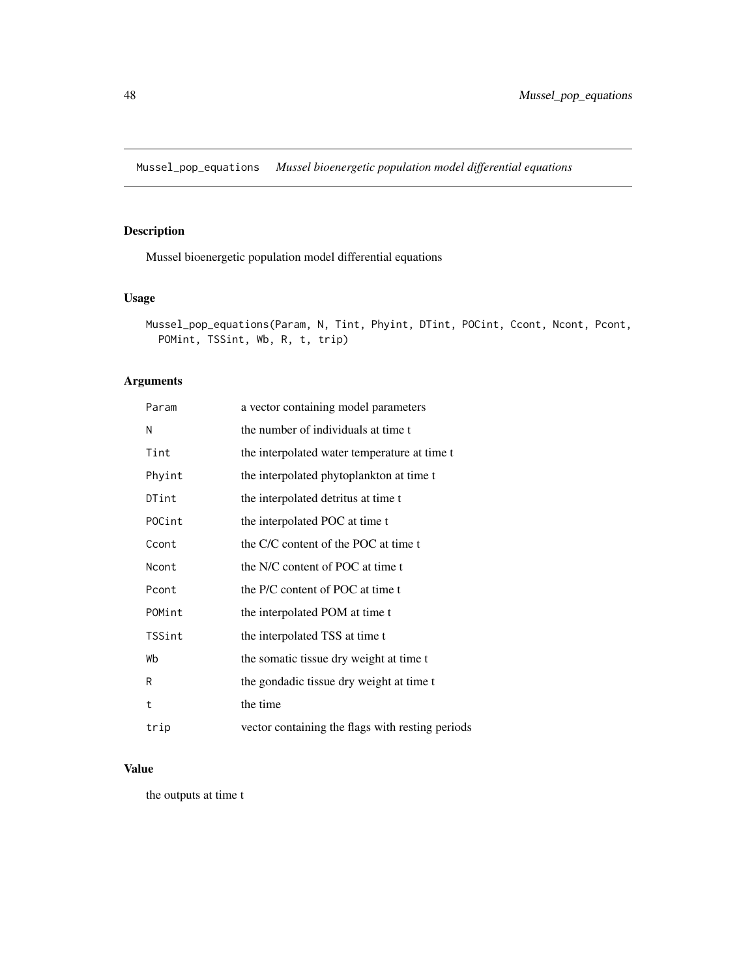<span id="page-47-0"></span>Mussel\_pop\_equations *Mussel bioenergetic population model differential equations*

# Description

Mussel bioenergetic population model differential equations

# Usage

```
Mussel_pop_equations(Param, N, Tint, Phyint, DTint, POCint, Ccont, Ncont, Pcont,
POMint, TSSint, Wb, R, t, trip)
```
# Arguments

| Param  | a vector containing model parameters             |
|--------|--------------------------------------------------|
| N      | the number of individuals at time t              |
| Tint   | the interpolated water temperature at time t     |
| Phyint | the interpolated phytoplankton at time t         |
| DTint  | the interpolated detritus at time t              |
| POCint | the interpolated POC at time t                   |
| Ccont  | the C/C content of the POC at time t             |
| Ncont  | the N/C content of POC at time t                 |
| Pcont  | the P/C content of POC at time t                 |
| POMint | the interpolated POM at time t                   |
| TSSint | the interpolated TSS at time t                   |
| Wb     | the somatic tissue dry weight at time t          |
| R      | the gondadic tissue dry weight at time t         |
| t      | the time                                         |
| trip   | vector containing the flags with resting periods |

# Value

the outputs at time t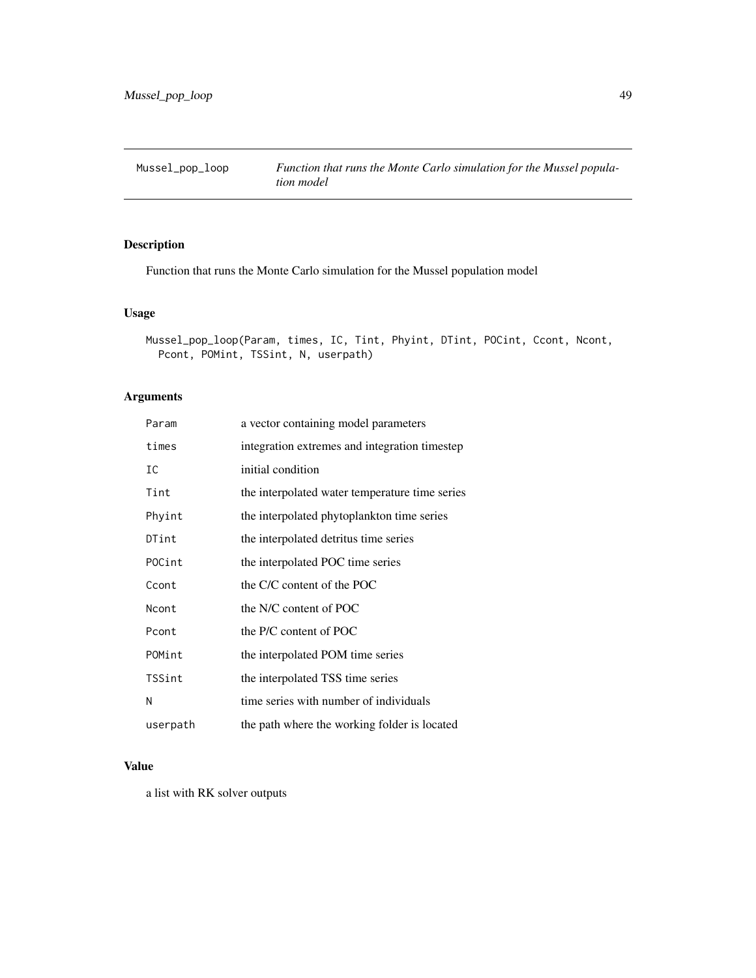<span id="page-48-0"></span>

# Description

Function that runs the Monte Carlo simulation for the Mussel population model

# Usage

```
Mussel_pop_loop(Param, times, IC, Tint, Phyint, DTint, POCint, Ccont, Ncont,
Pcont, POMint, TSSint, N, userpath)
```
# Arguments

| Param    | a vector containing model parameters           |
|----------|------------------------------------------------|
| times    | integration extremes and integration timestep  |
| IC       | initial condition                              |
| Tint     | the interpolated water temperature time series |
| Phyint   | the interpolated phytoplankton time series     |
| DTint    | the interpolated detritus time series          |
| POCint   | the interpolated POC time series               |
| Ccont    | the C/C content of the POC                     |
| Ncont    | the N/C content of POC                         |
| Pcont    | the P/C content of POC                         |
| POMint   | the interpolated POM time series               |
| TSSint   | the interpolated TSS time series               |
| Ν        | time series with number of individuals         |
| userpath | the path where the working folder is located   |

#### Value

a list with RK solver outputs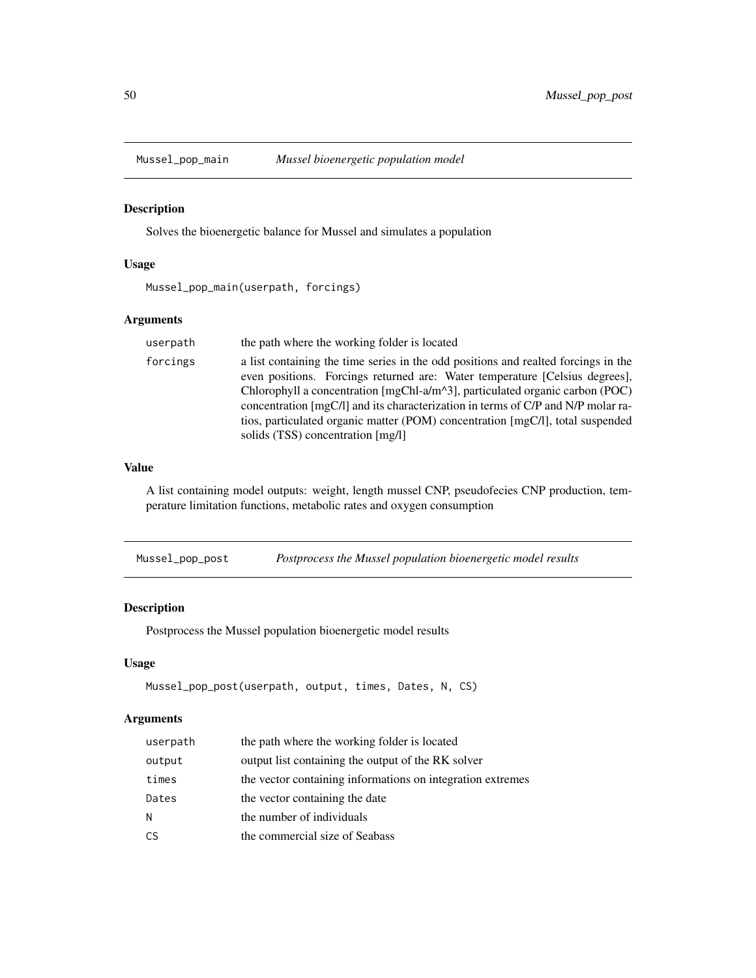<span id="page-49-0"></span>

#### Description

Solves the bioenergetic balance for Mussel and simulates a population

# Usage

Mussel\_pop\_main(userpath, forcings)

# Arguments

| userpath | the path where the working folder is located                                                                                                                                                                                                                                                                                                                                                                                                                                 |
|----------|------------------------------------------------------------------------------------------------------------------------------------------------------------------------------------------------------------------------------------------------------------------------------------------------------------------------------------------------------------------------------------------------------------------------------------------------------------------------------|
| forcings | a list containing the time series in the odd positions and realted forcings in the<br>even positions. Forcings returned are: Water temperature [Celsius degrees],<br>Chlorophyll a concentration $[\text{mgChI-a/m}^2, \text{particulated organic carbon (POC)}]$<br>concentration [mgC/l] and its characterization in terms of C/P and N/P molar ra-<br>tios, particulated organic matter (POM) concentration [mgC/l], total suspended<br>solids (TSS) concentration [mg/l] |

# Value

A list containing model outputs: weight, length mussel CNP, pseudofecies CNP production, temperature limitation functions, metabolic rates and oxygen consumption

Mussel\_pop\_post *Postprocess the Mussel population bioenergetic model results*

#### Description

Postprocess the Mussel population bioenergetic model results

# Usage

```
Mussel_pop_post(userpath, output, times, Dates, N, CS)
```

| userpath | the path where the working folder is located               |
|----------|------------------------------------------------------------|
| output   | output list containing the output of the RK solver         |
| times    | the vector containing informations on integration extremes |
| Dates    | the vector containing the date                             |
| N        | the number of individuals                                  |
| CS       | the commercial size of Seabass                             |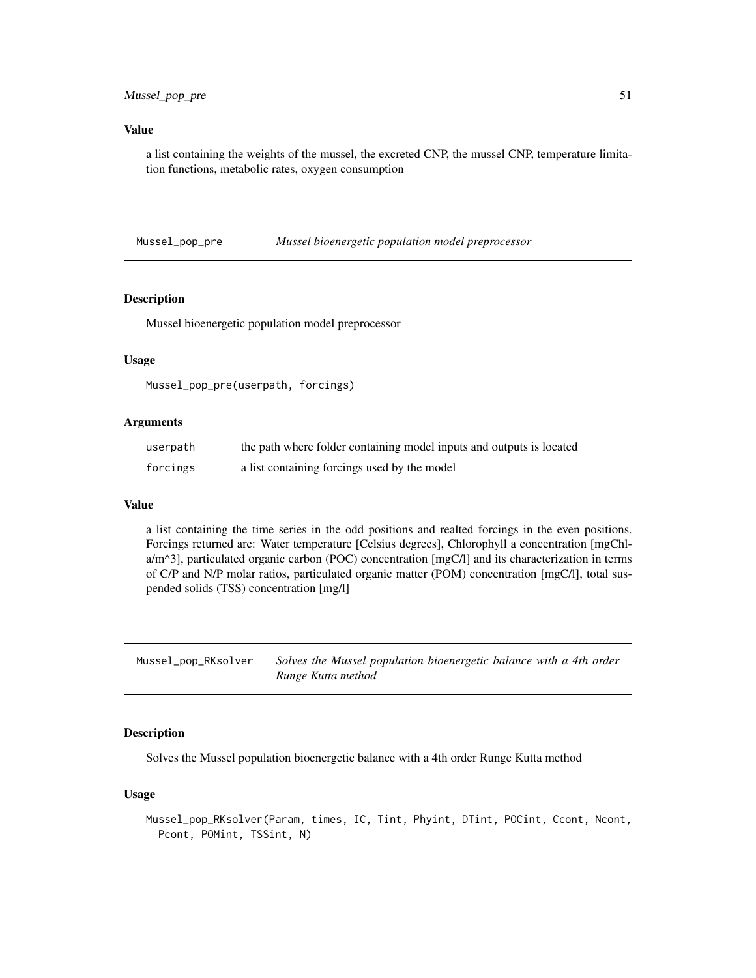# <span id="page-50-0"></span>Mussel\_pop\_pre 51

#### Value

a list containing the weights of the mussel, the excreted CNP, the mussel CNP, temperature limitation functions, metabolic rates, oxygen consumption

Mussel\_pop\_pre *Mussel bioenergetic population model preprocessor*

# Description

Mussel bioenergetic population model preprocessor

# Usage

Mussel\_pop\_pre(userpath, forcings)

#### Arguments

| userpath | the path where folder containing model inputs and outputs is located |
|----------|----------------------------------------------------------------------|
| forcings | a list containing forcings used by the model                         |

#### Value

a list containing the time series in the odd positions and realted forcings in the even positions. Forcings returned are: Water temperature [Celsius degrees], Chlorophyll a concentration [mgChla/m^3], particulated organic carbon (POC) concentration [mgC/l] and its characterization in terms of C/P and N/P molar ratios, particulated organic matter (POM) concentration [mgC/l], total suspended solids (TSS) concentration [mg/l]

| Mussel_pop_RKsolver | Solves the Mussel population bioenergetic balance with a 4th order |
|---------------------|--------------------------------------------------------------------|
|                     | Runge Kutta method                                                 |

# Description

Solves the Mussel population bioenergetic balance with a 4th order Runge Kutta method

#### Usage

Mussel\_pop\_RKsolver(Param, times, IC, Tint, Phyint, DTint, POCint, Ccont, Ncont, Pcont, POMint, TSSint, N)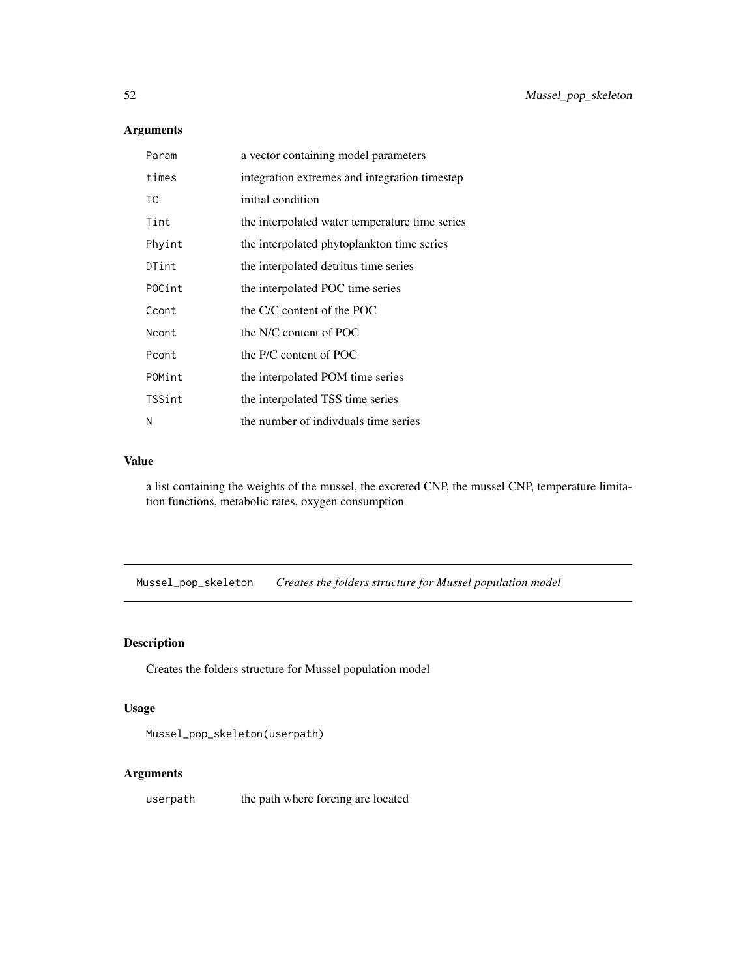# Arguments

| Param  | a vector containing model parameters           |
|--------|------------------------------------------------|
| times  | integration extremes and integration timestep  |
| IC     | initial condition                              |
| Tint   | the interpolated water temperature time series |
| Phyint | the interpolated phytoplankton time series     |
| DTint  | the interpolated detritus time series          |
| POCint | the interpolated POC time series               |
| Ccont  | the C/C content of the POC                     |
| Ncont  | the N/C content of POC                         |
| Pcont  | the P/C content of POC                         |
| POMint | the interpolated POM time series               |
| TSSint | the interpolated TSS time series               |
| N      | the number of indivduals time series           |

# Value

a list containing the weights of the mussel, the excreted CNP, the mussel CNP, temperature limitation functions, metabolic rates, oxygen consumption

Mussel\_pop\_skeleton *Creates the folders structure for Mussel population model*

# Description

Creates the folders structure for Mussel population model

# Usage

```
Mussel_pop_skeleton(userpath)
```
# Arguments

userpath the path where forcing are located

<span id="page-51-0"></span>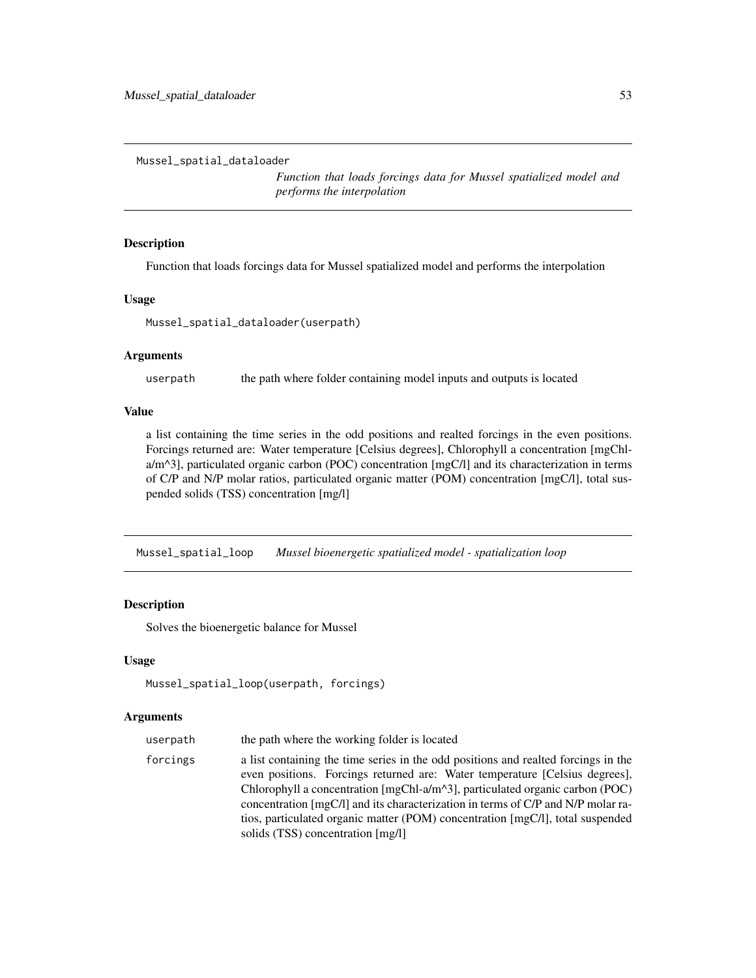<span id="page-52-0"></span>Mussel\_spatial\_dataloader

*Function that loads forcings data for Mussel spatialized model and performs the interpolation*

# Description

Function that loads forcings data for Mussel spatialized model and performs the interpolation

#### Usage

Mussel\_spatial\_dataloader(userpath)

#### Arguments

userpath the path where folder containing model inputs and outputs is located

#### Value

a list containing the time series in the odd positions and realted forcings in the even positions. Forcings returned are: Water temperature [Celsius degrees], Chlorophyll a concentration [mgChla/m^3], particulated organic carbon (POC) concentration [mgC/l] and its characterization in terms of C/P and N/P molar ratios, particulated organic matter (POM) concentration [mgC/l], total suspended solids (TSS) concentration [mg/l]

Mussel\_spatial\_loop *Mussel bioenergetic spatialized model - spatialization loop*

# Description

Solves the bioenergetic balance for Mussel

#### Usage

```
Mussel_spatial_loop(userpath, forcings)
```

| userpath | the path where the working folder is located                                                                                                                                                                                                                                                                                                                                                                                                                                     |
|----------|----------------------------------------------------------------------------------------------------------------------------------------------------------------------------------------------------------------------------------------------------------------------------------------------------------------------------------------------------------------------------------------------------------------------------------------------------------------------------------|
| forcings | a list containing the time series in the odd positions and realted forcings in the<br>even positions. Forcings returned are: Water temperature [Celsius degrees],<br>Chlorophyll a concentration $[\text{mgChI-a/m}^2, \text{particulated organic carbon (POC)}]$<br>concentration [mgC/l] and its characterization in terms of $C/P$ and $N/P$ molar ra-<br>tios, particulated organic matter (POM) concentration [mgC/l], total suspended<br>solids (TSS) concentration [mg/l] |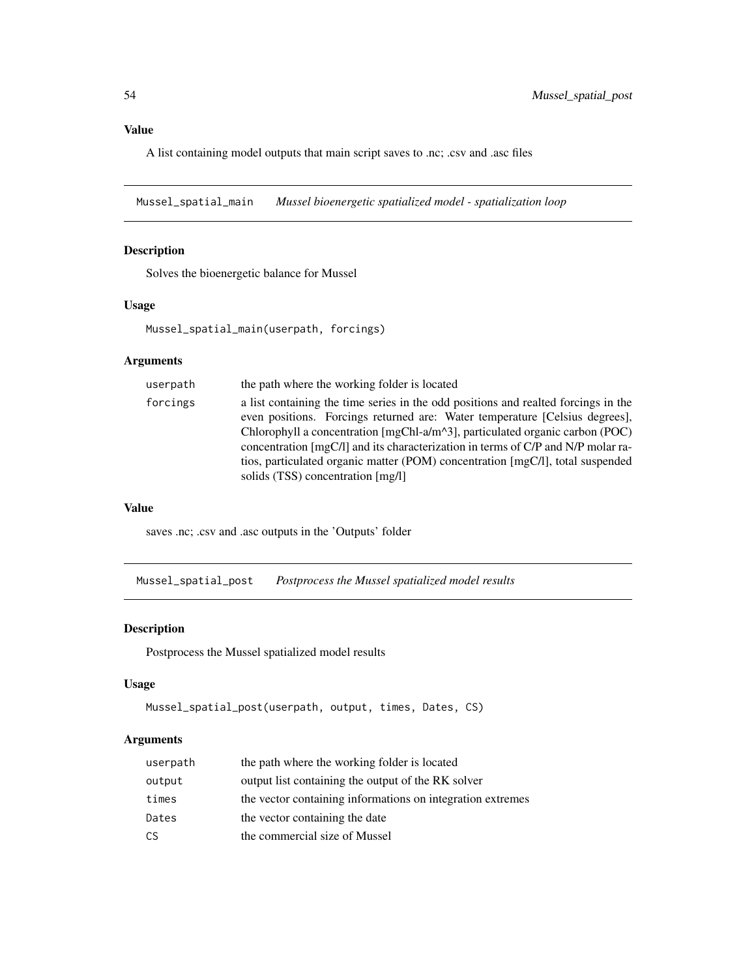<span id="page-53-0"></span>A list containing model outputs that main script saves to .nc; .csv and .asc files

Mussel\_spatial\_main *Mussel bioenergetic spatialized model - spatialization loop*

# Description

Solves the bioenergetic balance for Mussel

# Usage

Mussel\_spatial\_main(userpath, forcings)

# Arguments

| userpath | the path where the working folder is located                                                                                                                                                                                                                                                                                                                                                                                                                 |
|----------|--------------------------------------------------------------------------------------------------------------------------------------------------------------------------------------------------------------------------------------------------------------------------------------------------------------------------------------------------------------------------------------------------------------------------------------------------------------|
| forcings | a list containing the time series in the odd positions and realted forcings in the<br>even positions. Forcings returned are: Water temperature [Celsius degrees],<br>Chlorophyll a concentration [mgChl-a/m^3], particulated organic carbon (POC)<br>concentration [mgC/l] and its characterization in terms of C/P and N/P molar ra-<br>tios, particulated organic matter (POM) concentration [mgC/l], total suspended<br>solids (TSS) concentration [mg/l] |
|          |                                                                                                                                                                                                                                                                                                                                                                                                                                                              |

#### Value

saves .nc; .csv and .asc outputs in the 'Outputs' folder

Mussel\_spatial\_post *Postprocess the Mussel spatialized model results*

#### Description

Postprocess the Mussel spatialized model results

#### Usage

```
Mussel_spatial_post(userpath, output, times, Dates, CS)
```

| userpath | the path where the working folder is located               |
|----------|------------------------------------------------------------|
| output   | output list containing the output of the RK solver         |
| times    | the vector containing informations on integration extremes |
| Dates    | the vector containing the date                             |
| CS       | the commercial size of Mussel                              |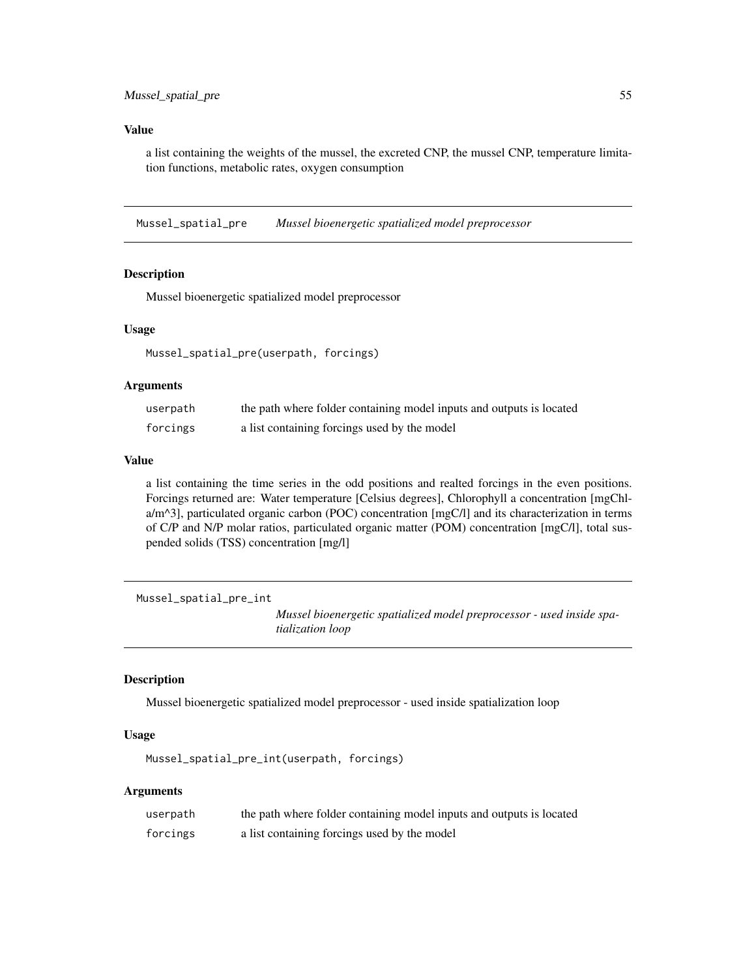<span id="page-54-0"></span>a list containing the weights of the mussel, the excreted CNP, the mussel CNP, temperature limitation functions, metabolic rates, oxygen consumption

Mussel\_spatial\_pre *Mussel bioenergetic spatialized model preprocessor*

#### Description

Mussel bioenergetic spatialized model preprocessor

#### Usage

Mussel\_spatial\_pre(userpath, forcings)

# Arguments

| userpath | the path where folder containing model inputs and outputs is located |
|----------|----------------------------------------------------------------------|
| forcings | a list containing forcings used by the model                         |

#### Value

a list containing the time series in the odd positions and realted forcings in the even positions. Forcings returned are: Water temperature [Celsius degrees], Chlorophyll a concentration [mgChla/m^3], particulated organic carbon (POC) concentration [mgC/l] and its characterization in terms of C/P and N/P molar ratios, particulated organic matter (POM) concentration [mgC/l], total suspended solids (TSS) concentration [mg/l]

Mussel\_spatial\_pre\_int

*Mussel bioenergetic spatialized model preprocessor - used inside spatialization loop*

# Description

Mussel bioenergetic spatialized model preprocessor - used inside spatialization loop

#### Usage

Mussel\_spatial\_pre\_int(userpath, forcings)

| userpath | the path where folder containing model inputs and outputs is located |
|----------|----------------------------------------------------------------------|
| forcings | a list containing forcings used by the model                         |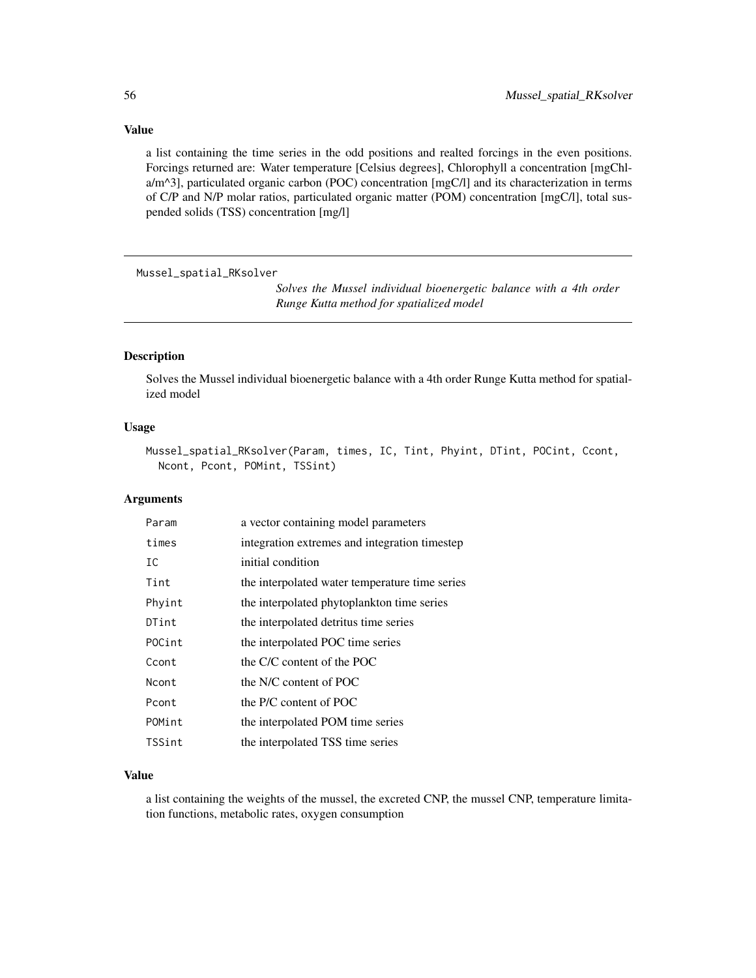<span id="page-55-0"></span>a list containing the time series in the odd positions and realted forcings in the even positions. Forcings returned are: Water temperature [Celsius degrees], Chlorophyll a concentration [mgChla/m^3], particulated organic carbon (POC) concentration [mgC/l] and its characterization in terms of C/P and N/P molar ratios, particulated organic matter (POM) concentration [mgC/l], total suspended solids (TSS) concentration [mg/l]

Mussel\_spatial\_RKsolver

*Solves the Mussel individual bioenergetic balance with a 4th order Runge Kutta method for spatialized model*

# Description

Solves the Mussel individual bioenergetic balance with a 4th order Runge Kutta method for spatialized model

# Usage

```
Mussel_spatial_RKsolver(Param, times, IC, Tint, Phyint, DTint, POCint, Ccont,
Ncont, Pcont, POMint, TSSint)
```
#### Arguments

| Param  | a vector containing model parameters           |
|--------|------------------------------------------------|
| times  | integration extremes and integration timestep  |
| IC     | initial condition                              |
| Tint   | the interpolated water temperature time series |
| Phyint | the interpolated phytoplankton time series     |
| DTint  | the interpolated detritus time series          |
| POCint | the interpolated POC time series               |
| Ccont  | the C/C content of the POC                     |
| Ncont  | the N/C content of POC                         |
| Pcont  | the P/C content of POC                         |
| POMint | the interpolated POM time series               |
| TSSint | the interpolated TSS time series               |
|        |                                                |

#### Value

a list containing the weights of the mussel, the excreted CNP, the mussel CNP, temperature limitation functions, metabolic rates, oxygen consumption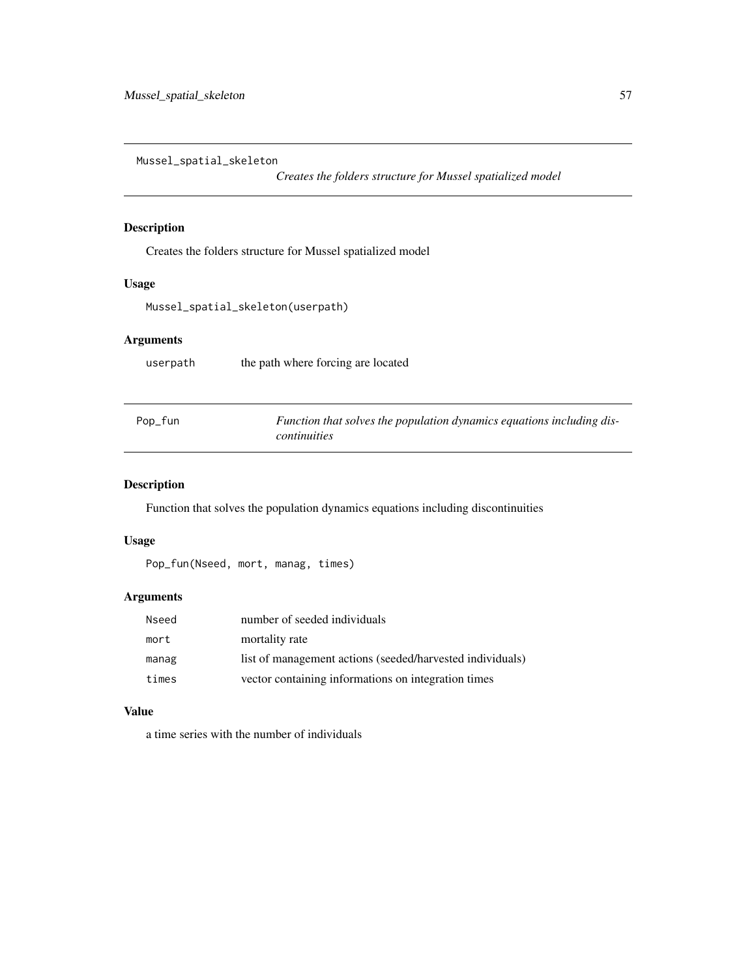<span id="page-56-0"></span>Mussel\_spatial\_skeleton

*Creates the folders structure for Mussel spatialized model*

# Description

Creates the folders structure for Mussel spatialized model

# Usage

Mussel\_spatial\_skeleton(userpath)

# Arguments

userpath the path where forcing are located

| Pop_fun | Function that solves the population dynamics equations including dis- |
|---------|-----------------------------------------------------------------------|
|         | continuities                                                          |

# Description

Function that solves the population dynamics equations including discontinuities

#### Usage

```
Pop_fun(Nseed, mort, manag, times)
```
# Arguments

| Nseed | number of seeded individuals                              |
|-------|-----------------------------------------------------------|
| mort  | mortality rate                                            |
| manag | list of management actions (seeded/harvested individuals) |
| times | vector containing informations on integration times       |

#### Value

a time series with the number of individuals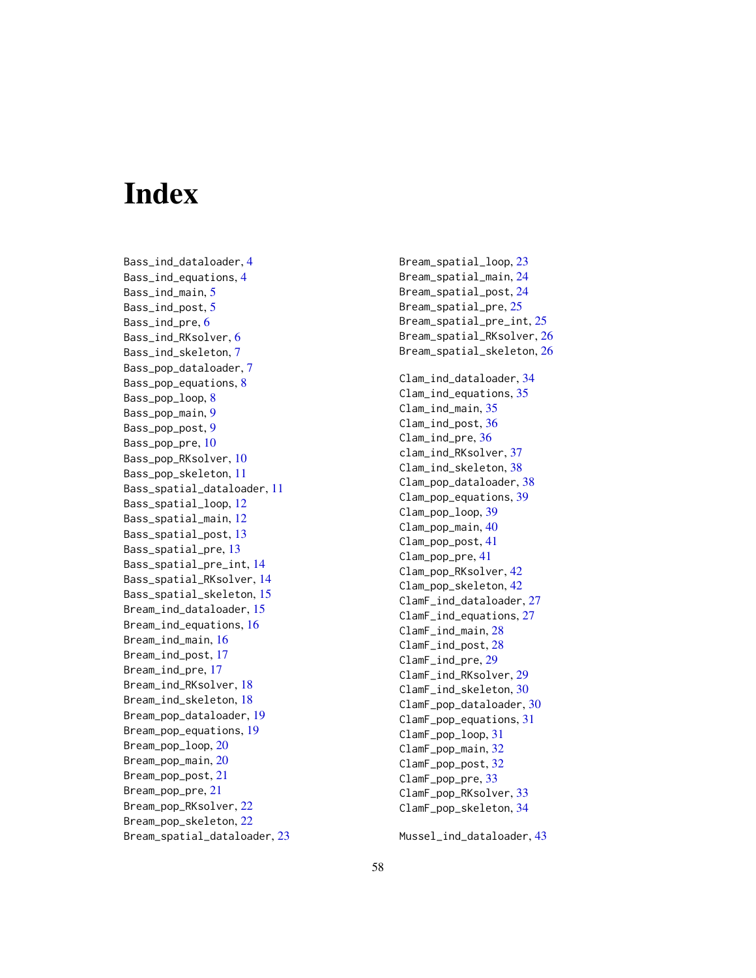# <span id="page-57-0"></span>Index

Bass\_ind\_dataloader , [4](#page-3-0) Bass\_ind\_equations , [4](#page-3-0) Bass\_ind\_main, [5](#page-4-0) Bass\_ind\_post , [5](#page-4-0) Bass\_ind\_pre, [6](#page-5-0) Bass\_ind\_RKsolver,[6](#page-5-0) Bass\_ind\_skeleton , [7](#page-6-0) Bass\_pop\_dataloader,[7](#page-6-0) Bass\_pop\_equations, [8](#page-7-0) Bass\_pop\_loop, <mark>[8](#page-7-0)</mark> Bass\_pop\_main,<mark>[9](#page-8-0)</mark> Bass\_pop\_post , [9](#page-8-0) Bass\_pop\_pre, [10](#page-9-0) Bass\_pop\_RKsolver,[10](#page-9-0) Bass\_pop\_skeleton , [11](#page-10-0) Bass\_spatial\_dataloader , [11](#page-10-0) Bass\_spatial\_loop , [12](#page-11-0) Bass\_spatial\_main,[12](#page-11-0) Bass\_spatial\_post , [13](#page-12-0) Bass\_spatial\_pre , [13](#page-12-0) Bass\_spatial\_pre\_int , [14](#page-13-0) Bass\_spatial\_RKsolver , [14](#page-13-0) Bass\_spatial\_skeleton , [15](#page-14-0) Bream\_ind\_dataloader, [15](#page-14-0) Bream\_ind\_equations , [16](#page-15-0) Bream\_ind\_main , [16](#page-15-0) Bream\_ind\_post , [17](#page-16-0) Bream\_ind\_pre , [17](#page-16-0) Bream\_ind\_RKsolver, [18](#page-17-0) Bream\_ind\_skeleton , [18](#page-17-0) Bream\_pop\_dataloader , [19](#page-18-0) Bream\_pop\_equations , [19](#page-18-0) Bream\_pop\_loop , [20](#page-19-0) Bream\_pop\_main , [20](#page-19-0) Bream\_pop\_post , [21](#page-20-0) Bream\_pop\_pre , [21](#page-20-0) Bream\_pop\_RKsolver, [22](#page-21-0) Bream\_pop\_skeleton , [22](#page-21-0) Bream\_spatial\_dataloader , [23](#page-22-0) Bream\_spatial\_loop , [23](#page-22-0) Bream\_spatial\_main , [24](#page-23-0) Bream\_spatial\_post , [24](#page-23-0) Bream\_spatial\_pre, [25](#page-24-0) Bream\_spatial\_pre\_int , [25](#page-24-0) Bream\_spatial\_RKsolver , [26](#page-25-0) Bream\_spatial\_skeleton , [26](#page-25-0) Clam\_ind\_dataloader , [34](#page-33-0) Clam\_ind\_equations , [35](#page-34-0) Clam\_ind\_main , [35](#page-34-0) Clam\_ind\_post , [36](#page-35-0) Clam\_ind\_pre , [36](#page-35-0) clam\_ind\_RKsolver , [37](#page-36-0) Clam\_ind\_skeleton , [38](#page-37-0) Clam\_pop\_dataloader , [38](#page-37-0) Clam\_pop\_equations , [39](#page-38-0) Clam\_pop\_loop, [39](#page-38-0) Clam\_pop\_main , [40](#page-39-0) Clam\_pop\_post , [41](#page-40-0) Clam\_pop\_pre , [41](#page-40-0) Clam\_pop\_RKsolver , [42](#page-41-0) Clam\_pop\_skeleton , [42](#page-41-0) ClamF\_ind\_dataloader , [27](#page-26-0) ClamF\_ind\_equations , [27](#page-26-0) ClamF\_ind\_main , [28](#page-27-0) ClamF\_ind\_post , [28](#page-27-0) ClamF\_ind\_pre , [29](#page-28-0) ClamF\_ind\_RKsolver , [29](#page-28-0) ClamF\_ind\_skeleton , [30](#page-29-0) ClamF\_pop\_dataloader , [30](#page-29-0) ClamF\_pop\_equations , [31](#page-30-0) ClamF\_pop\_loop , [31](#page-30-0) ClamF\_pop\_main , [32](#page-31-0) ClamF\_pop\_post , [32](#page-31-0) ClamF\_pop\_pre, [33](#page-32-0) ClamF\_pop\_RKsolver , [33](#page-32-0) ClamF\_pop\_skeleton , [34](#page-33-0)

Mussel\_ind\_dataloader , [43](#page-42-0)